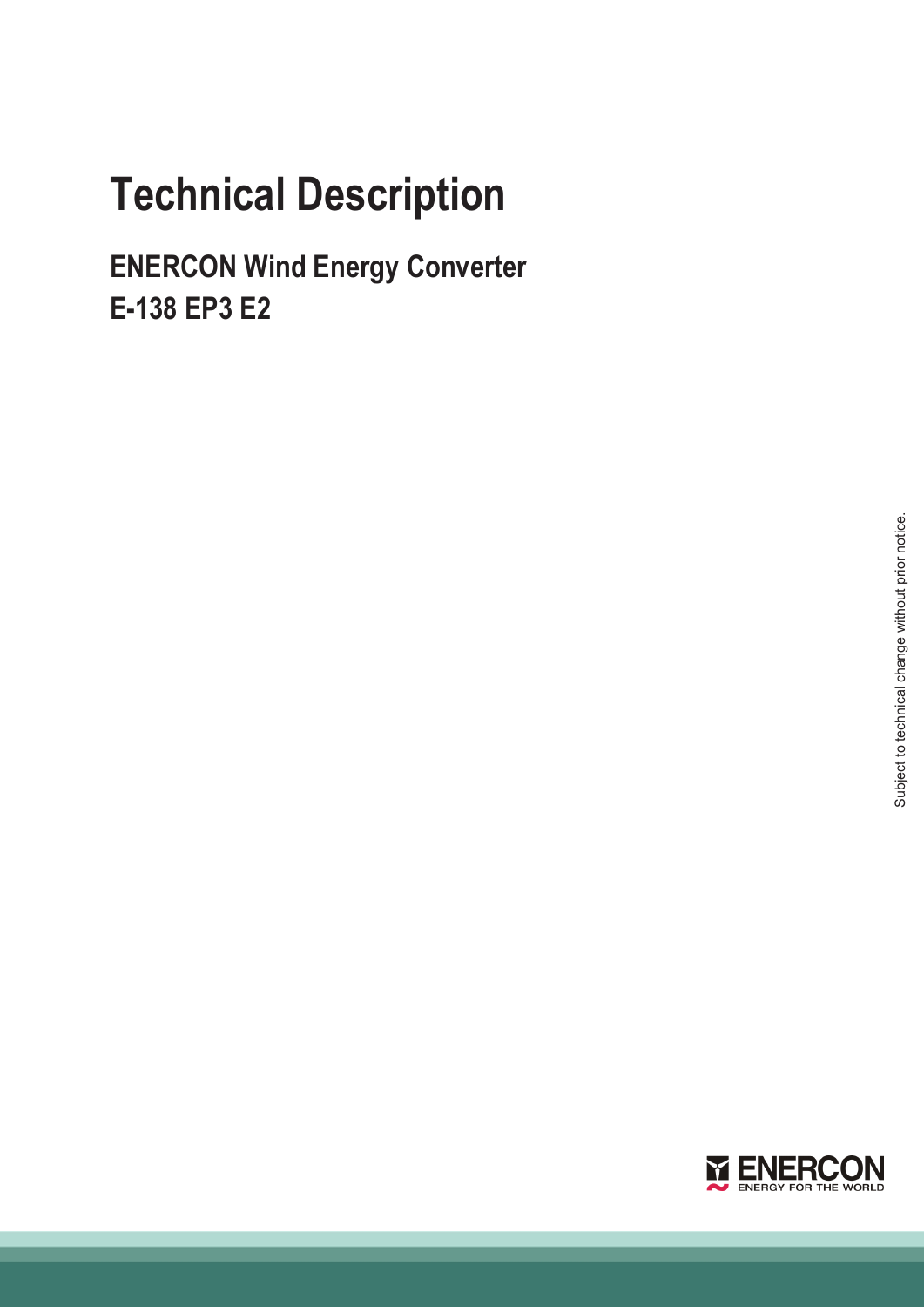# **Technical Description**

**ENERCON Wind Energy Converter E-138 EP3 E2**

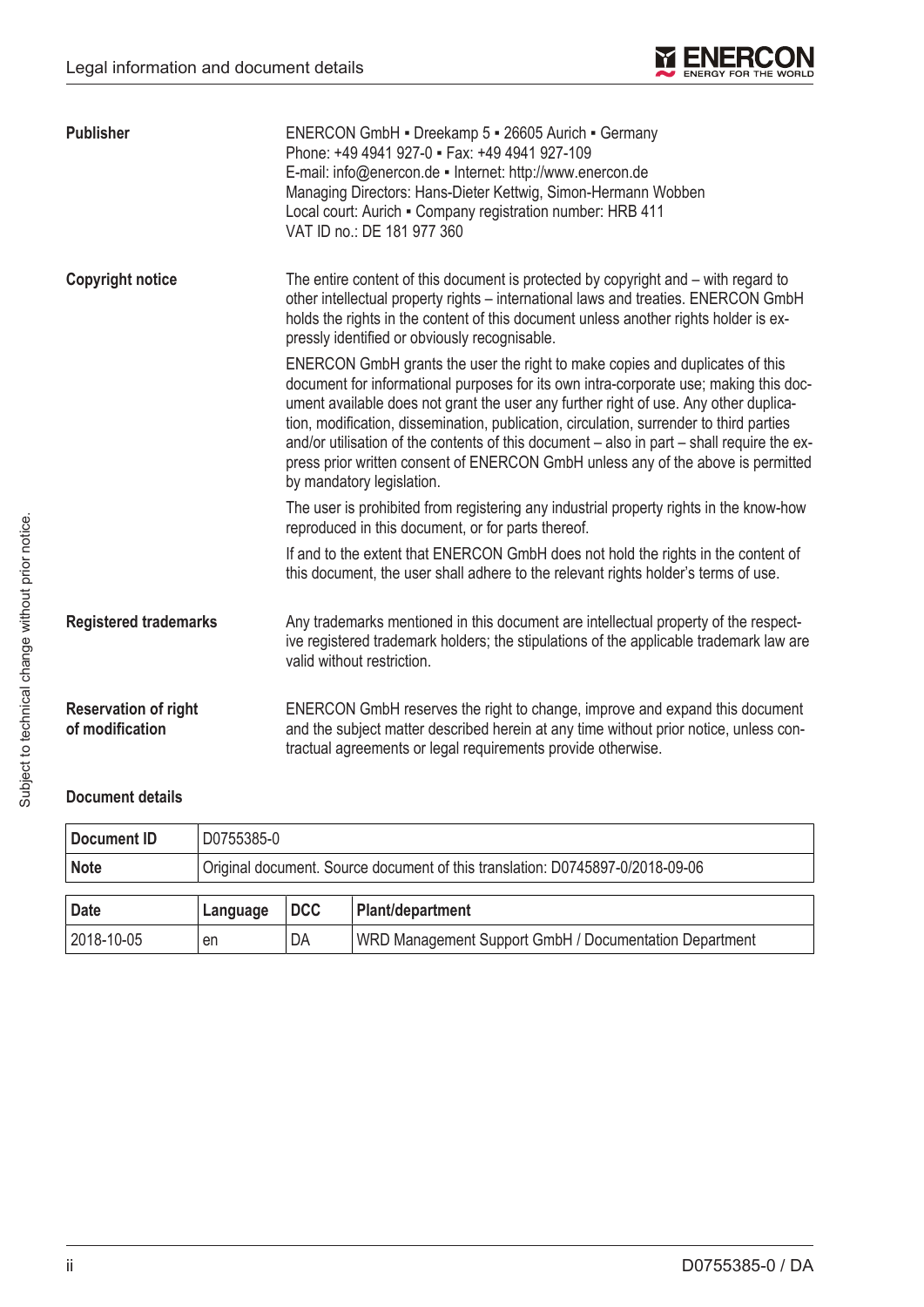

| <b>Publisher</b>                               | ENERCON GmbH - Dreekamp 5 - 26605 Aurich - Germany<br>Phone: +49 4941 927-0 - Fax: +49 4941 927-109<br>E-mail: info@enercon.de - Internet: http://www.enercon.de<br>Managing Directors: Hans-Dieter Kettwig, Simon-Hermann Wobben<br>Local court: Aurich - Company registration number: HRB 411<br>VAT ID no.: DE 181 977 360                                                                                                                                                                                                                                           |
|------------------------------------------------|-------------------------------------------------------------------------------------------------------------------------------------------------------------------------------------------------------------------------------------------------------------------------------------------------------------------------------------------------------------------------------------------------------------------------------------------------------------------------------------------------------------------------------------------------------------------------|
| <b>Copyright notice</b>                        | The entire content of this document is protected by copyright and – with regard to<br>other intellectual property rights - international laws and treaties. ENERCON GmbH<br>holds the rights in the content of this document unless another rights holder is ex-<br>pressly identified or obviously recognisable.                                                                                                                                                                                                                                                       |
|                                                | ENERCON GmbH grants the user the right to make copies and duplicates of this<br>document for informational purposes for its own intra-corporate use; making this doc-<br>ument available does not grant the user any further right of use. Any other duplica-<br>tion, modification, dissemination, publication, circulation, surrender to third parties<br>and/or utilisation of the contents of this document – also in part – shall require the ex-<br>press prior written consent of ENERCON GmbH unless any of the above is permitted<br>by mandatory legislation. |
|                                                | The user is prohibited from registering any industrial property rights in the know-how<br>reproduced in this document, or for parts thereof.                                                                                                                                                                                                                                                                                                                                                                                                                            |
|                                                | If and to the extent that ENERCON GmbH does not hold the rights in the content of<br>this document, the user shall adhere to the relevant rights holder's terms of use.                                                                                                                                                                                                                                                                                                                                                                                                 |
| <b>Registered trademarks</b>                   | Any trademarks mentioned in this document are intellectual property of the respect-<br>ive registered trademark holders; the stipulations of the applicable trademark law are<br>valid without restriction.                                                                                                                                                                                                                                                                                                                                                             |
| <b>Reservation of right</b><br>of modification | ENERCON GmbH reserves the right to change, improve and expand this document<br>and the subject matter described herein at any time without prior notice, unless con-<br>tractual agreements or legal requirements provide otherwise.                                                                                                                                                                                                                                                                                                                                    |

#### **Document details**

| Document ID                                               | D0755385-0                                                                    |    |                                                        |  |
|-----------------------------------------------------------|-------------------------------------------------------------------------------|----|--------------------------------------------------------|--|
| <b>Note</b>                                               | Original document. Source document of this translation: D0745897-0/2018-09-06 |    |                                                        |  |
| <b>DCC</b><br>Plant/department<br><b>Date</b><br>Language |                                                                               |    |                                                        |  |
| 2018-10-05                                                | en                                                                            | DA | WRD Management Support GmbH / Documentation Department |  |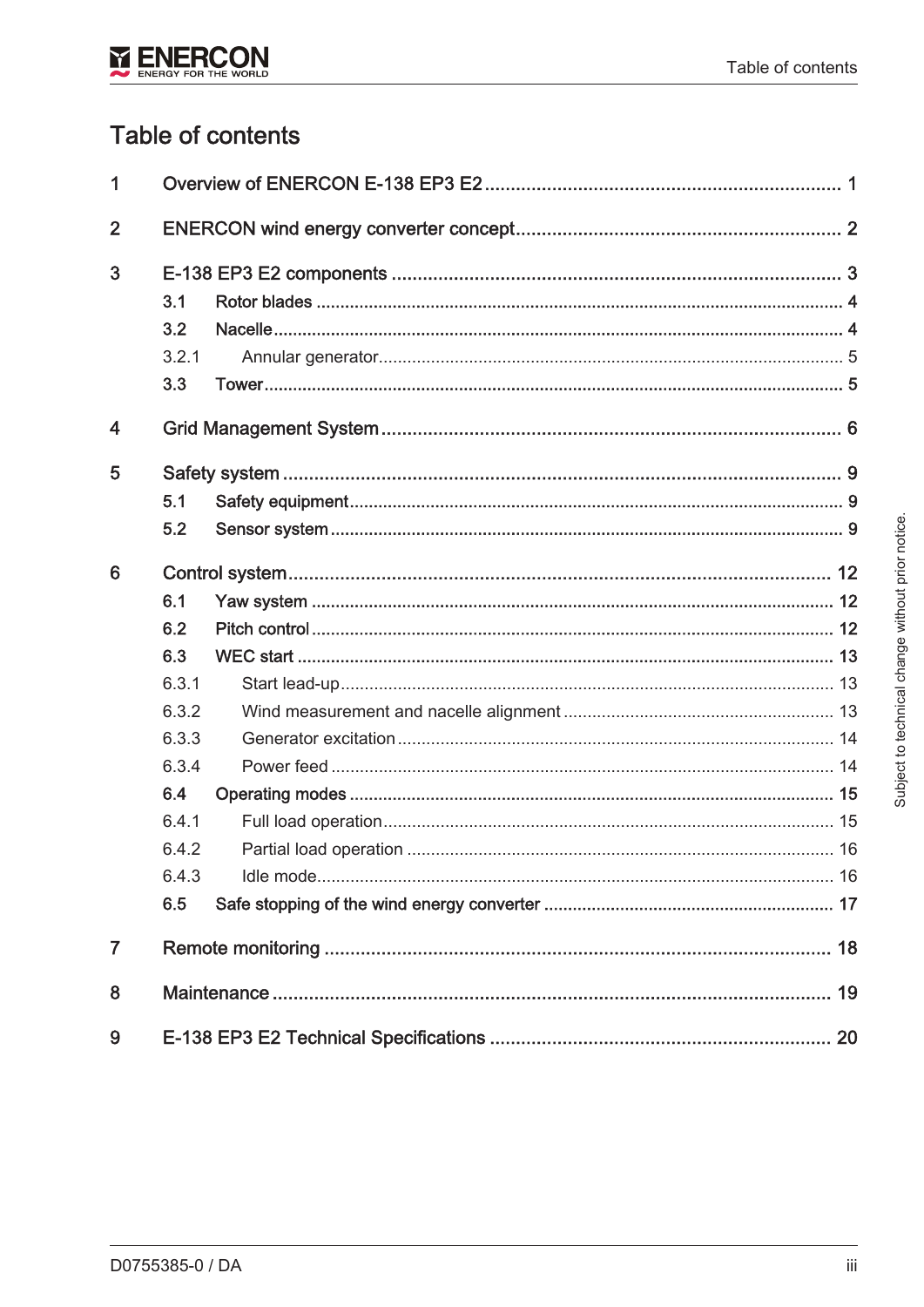### Table of contents

| 1                       |       |  |  |
|-------------------------|-------|--|--|
| $\overline{2}$          |       |  |  |
| 3                       |       |  |  |
|                         | 3.1   |  |  |
|                         | 3.2   |  |  |
|                         | 3.2.1 |  |  |
|                         | 3.3   |  |  |
| $\overline{\mathbf{4}}$ |       |  |  |
| 5                       |       |  |  |
|                         | 5.1   |  |  |
|                         | 5.2   |  |  |
| 6                       |       |  |  |
|                         | 6.1   |  |  |
|                         | 6.2   |  |  |
|                         | 6.3   |  |  |
|                         | 6.3.1 |  |  |
|                         | 6.3.2 |  |  |
|                         | 6.3.3 |  |  |
|                         | 6.3.4 |  |  |
|                         | 6.4   |  |  |
|                         | 6.4.1 |  |  |
|                         | 6.4.2 |  |  |
|                         | 6.4.3 |  |  |
|                         | 6.5   |  |  |
| $\overline{7}$          |       |  |  |
| 8                       |       |  |  |
| 9                       |       |  |  |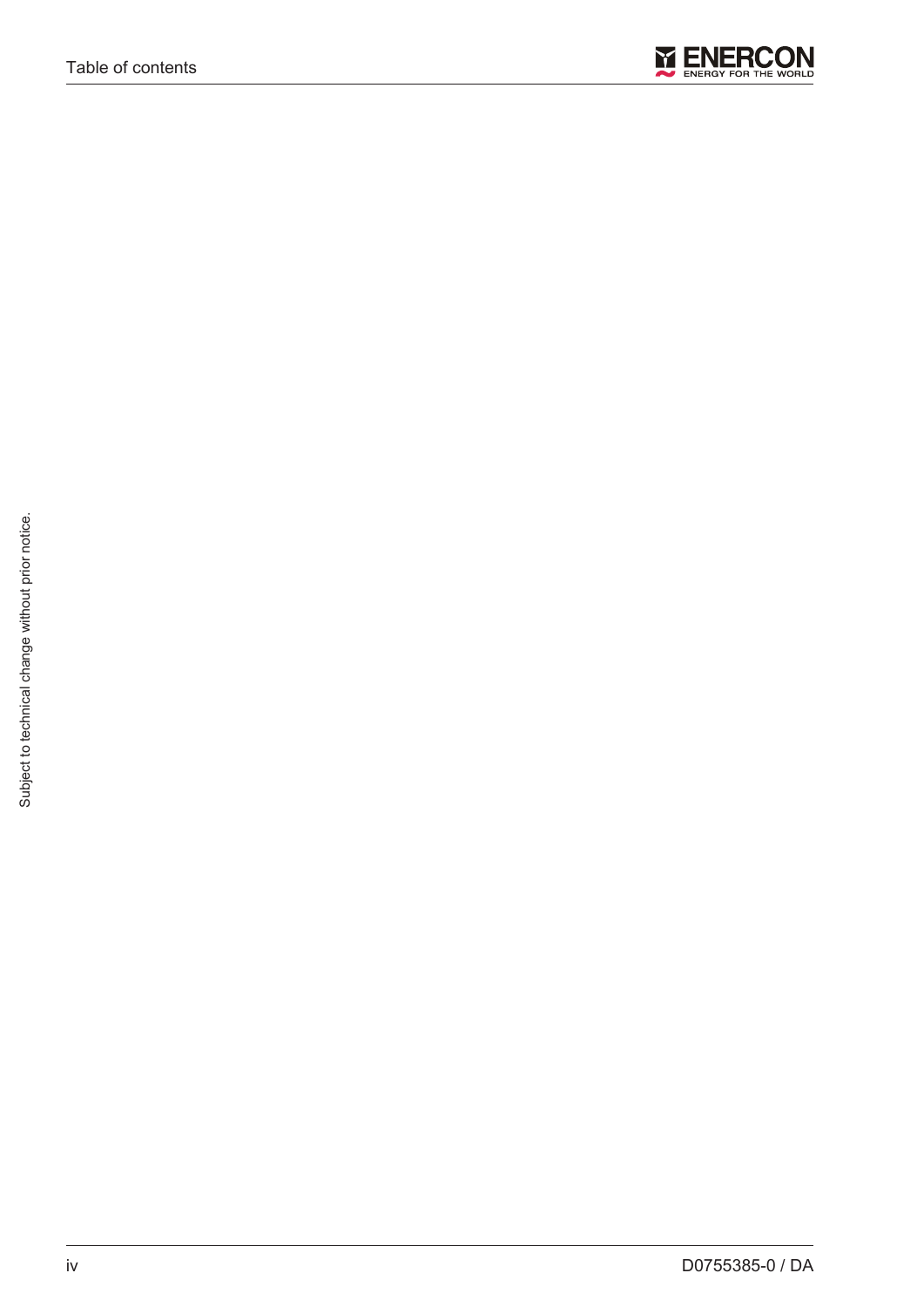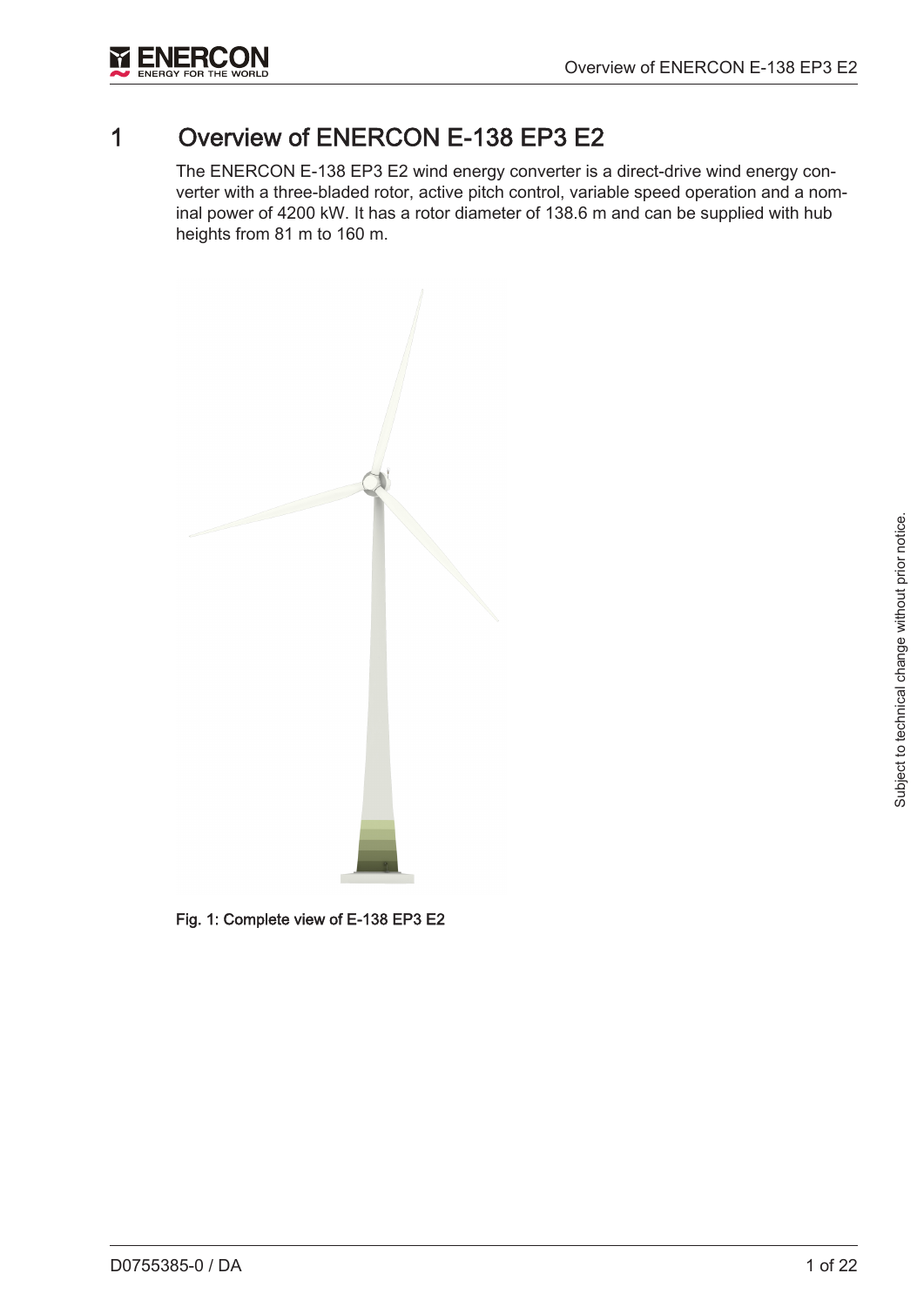**ENERCON** 

### 1 Overview of ENERCON E-138 EP3 E2

The ENERCON E-138 EP3 E2 wind energy converter is a direct-drive wind energy converter with a three-bladed rotor, active pitch control, variable speed operation and a nominal power of 4200 kW. It has a rotor diameter of 138.6 m and can be supplied with hub heights from 81 m to 160 m.

Fig. 1: Complete view of E-138 EP3 E2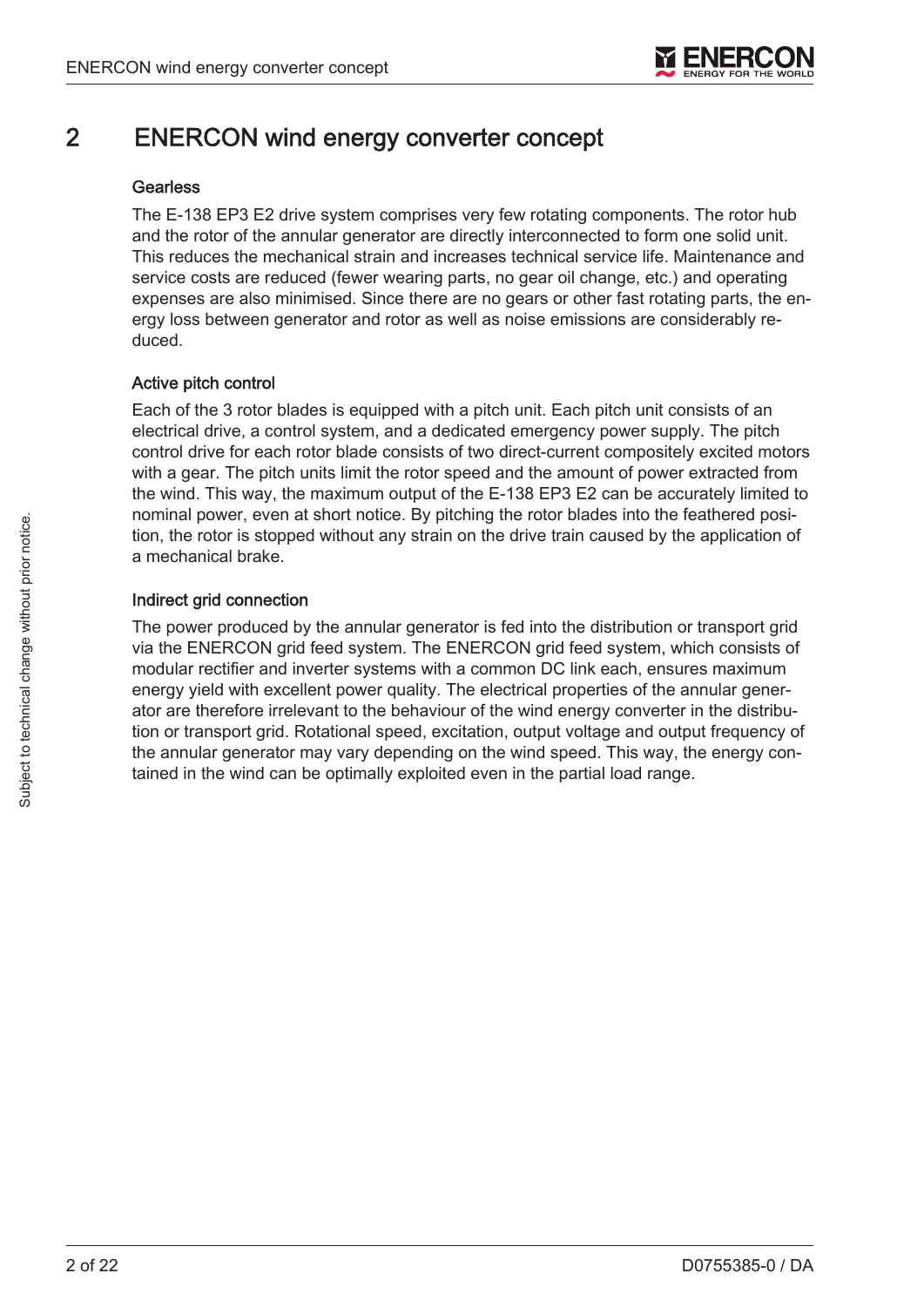### 2 ENERCON wind energy converter concept

#### **Gearless**

The E-138 EP3 E2 drive system comprises very few rotating components. The rotor hub and the rotor of the annular generator are directly interconnected to form one solid unit. This reduces the mechanical strain and increases technical service life. Maintenance and service costs are reduced (fewer wearing parts, no gear oil change, etc.) and operating expenses are also minimised. Since there are no gears or other fast rotating parts, the energy loss between generator and rotor as well as noise emissions are considerably reduced.

#### Active pitch control

Each of the 3 rotor blades is equipped with a pitch unit. Each pitch unit consists of an electrical drive, a control system, and a dedicated emergency power supply. The pitch control drive for each rotor blade consists of two direct-current compositely excited motors with a gear. The pitch units limit the rotor speed and the amount of power extracted from the wind. This way, the maximum output of the E-138 EP3 E2 can be accurately limited to nominal power, even at short notice. By pitching the rotor blades into the feathered position, the rotor is stopped without any strain on the drive train caused by the application of a mechanical brake.

#### Indirect grid connection

The power produced by the annular generator is fed into the distribution or transport grid via the ENERCON grid feed system. The ENERCON grid feed system, which consists of modular rectifier and inverter systems with a common DC link each, ensures maximum energy yield with excellent power quality. The electrical properties of the annular generator are therefore irrelevant to the behaviour of the wind energy converter in the distribution or transport grid. Rotational speed, excitation, output voltage and output frequency of the annular generator may vary depending on the wind speed. This way, the energy contained in the wind can be optimally exploited even in the partial load range.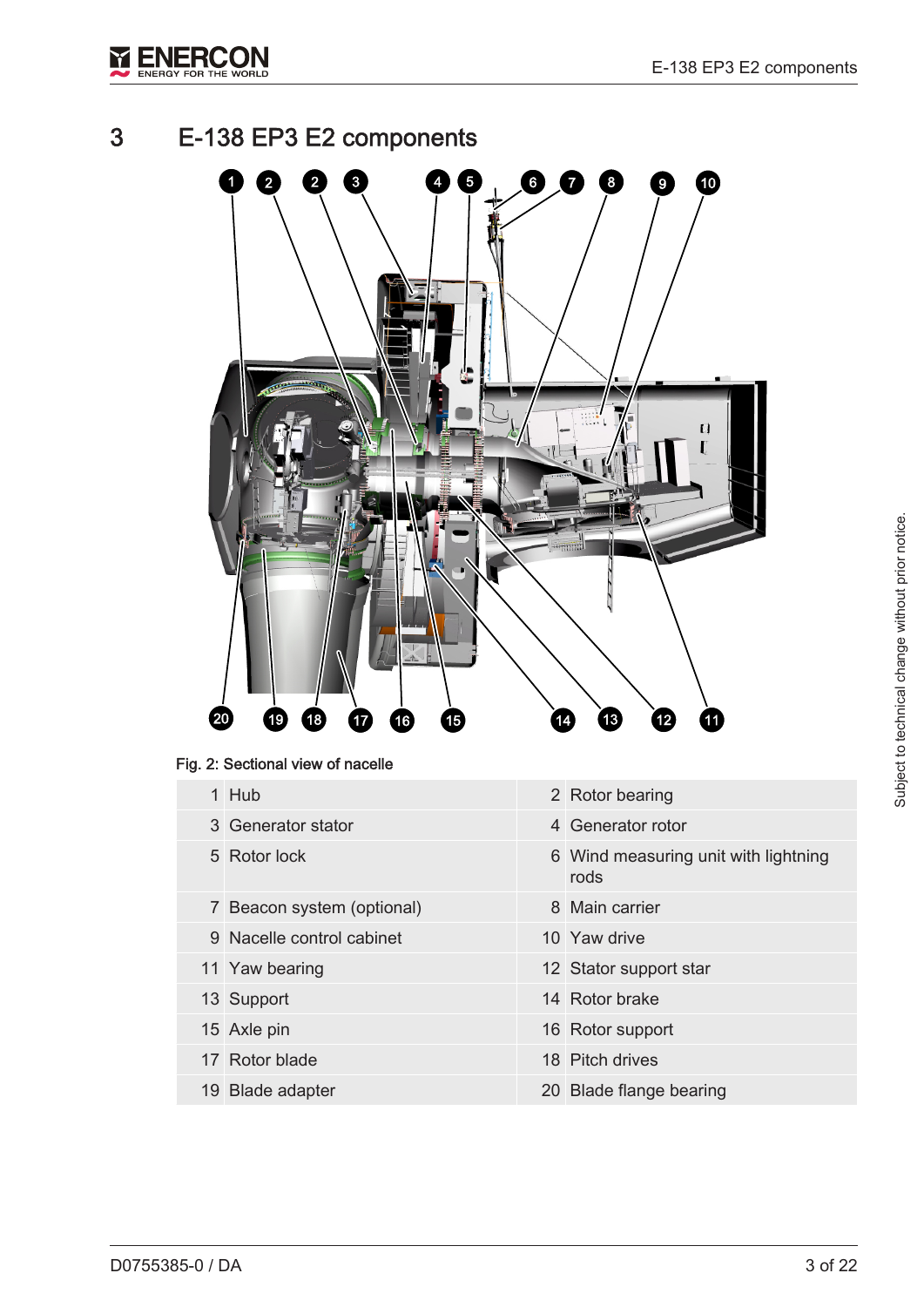

Fig. 2: Sectional view of nacelle

| $\mathbf{1}$ | <b>Hub</b> |
|--------------|------------|
|              |            |

**ENERCON** 

- 3 Generator stator 4 Generator rotor
- 
- 7 Beacon system (optional) 8 Main carrier
- 9 Nacelle control cabinet 10 Yaw drive
- 
- 
- 
- 17 Rotor blade 18 Pitch drives
- 
- 2 Rotor bearing
- 
- 5 Rotor lock 6 Wind measuring unit with lightning rods
	-
	-
- 11 Yaw bearing 12 Stator support star
- 13 Support 14 Rotor brake
- 15 Axle pin 16 Rotor support
	-
- 19 Blade adapter 20 Blade flange bearing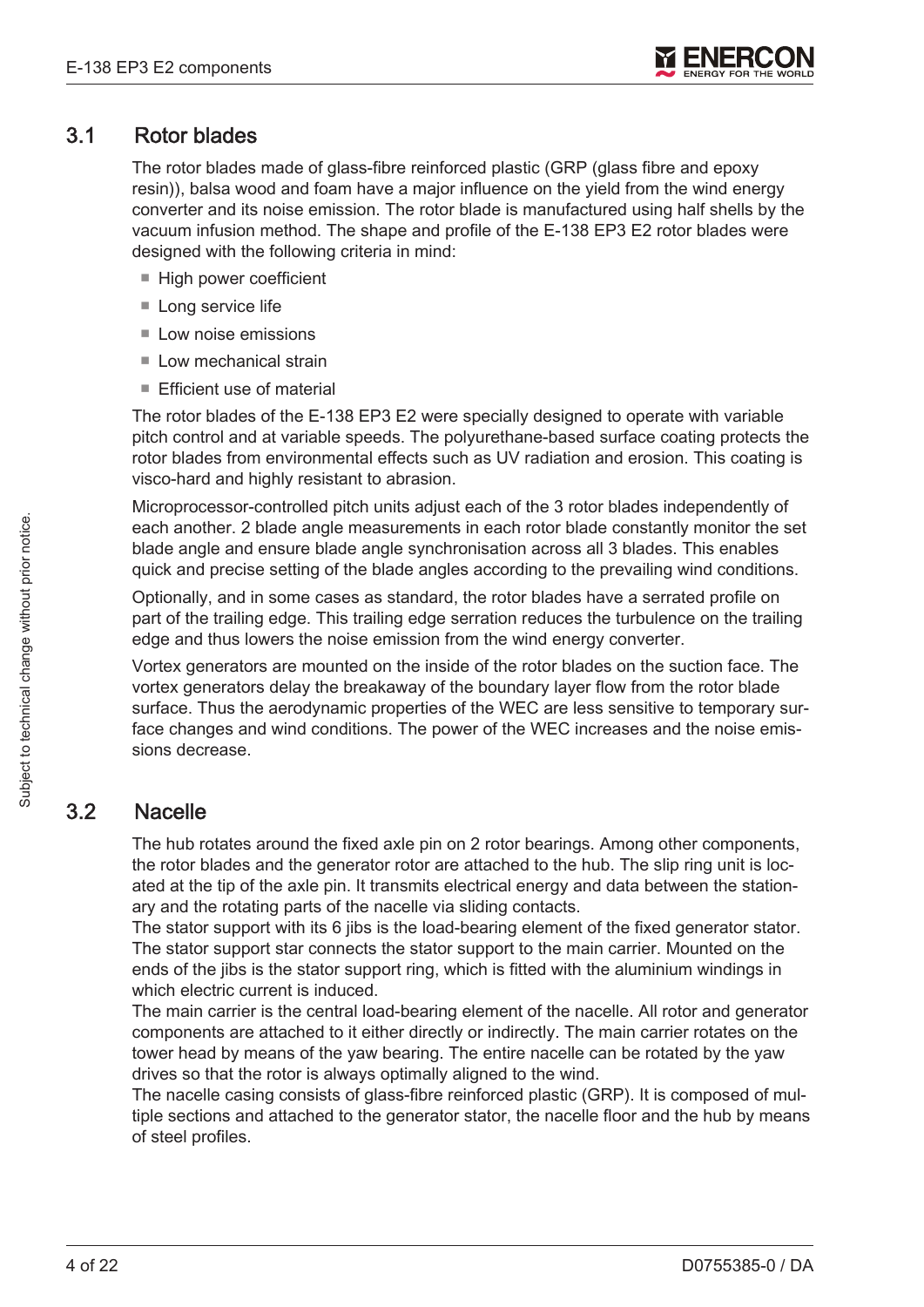### 3.1 Rotor blades

The rotor blades made of glass-fibre reinforced plastic (GRP (glass fibre and epoxy resin)), balsa wood and foam have a major influence on the yield from the wind energy converter and its noise emission. The rotor blade is manufactured using half shells by the vacuum infusion method. The shape and profile of the E-138 EP3 E2 rotor blades were designed with the following criteria in mind:

- High power coefficient
- Long service life
- Low noise emissions
- Low mechanical strain
- Efficient use of material

The rotor blades of the E-138 EP3 E2 were specially designed to operate with variable pitch control and at variable speeds. The polyurethane-based surface coating protects the rotor blades from environmental effects such as UV radiation and erosion. This coating is visco-hard and highly resistant to abrasion.

Microprocessor-controlled pitch units adjust each of the 3 rotor blades independently of each another. 2 blade angle measurements in each rotor blade constantly monitor the set blade angle and ensure blade angle synchronisation across all 3 blades. This enables quick and precise setting of the blade angles according to the prevailing wind conditions.

Optionally, and in some cases as standard, the rotor blades have a serrated profile on part of the trailing edge. This trailing edge serration reduces the turbulence on the trailing edge and thus lowers the noise emission from the wind energy converter.

Vortex generators are mounted on the inside of the rotor blades on the suction face. The vortex generators delay the breakaway of the boundary layer flow from the rotor blade surface. Thus the aerodynamic properties of the WEC are less sensitive to temporary surface changes and wind conditions. The power of the WEC increases and the noise emissions decrease.

#### 3.2 Nacelle

The hub rotates around the fixed axle pin on 2 rotor bearings. Among other components, the rotor blades and the generator rotor are attached to the hub. The slip ring unit is located at the tip of the axle pin. It transmits electrical energy and data between the stationary and the rotating parts of the nacelle via sliding contacts.

The stator support with its 6 jibs is the load-bearing element of the fixed generator stator. The stator support star connects the stator support to the main carrier. Mounted on the ends of the jibs is the stator support ring, which is fitted with the aluminium windings in which electric current is induced.

The main carrier is the central load-bearing element of the nacelle. All rotor and generator components are attached to it either directly or indirectly. The main carrier rotates on the tower head by means of the yaw bearing. The entire nacelle can be rotated by the yaw drives so that the rotor is always optimally aligned to the wind.

The nacelle casing consists of glass-fibre reinforced plastic (GRP). It is composed of multiple sections and attached to the generator stator, the nacelle floor and the hub by means of steel profiles.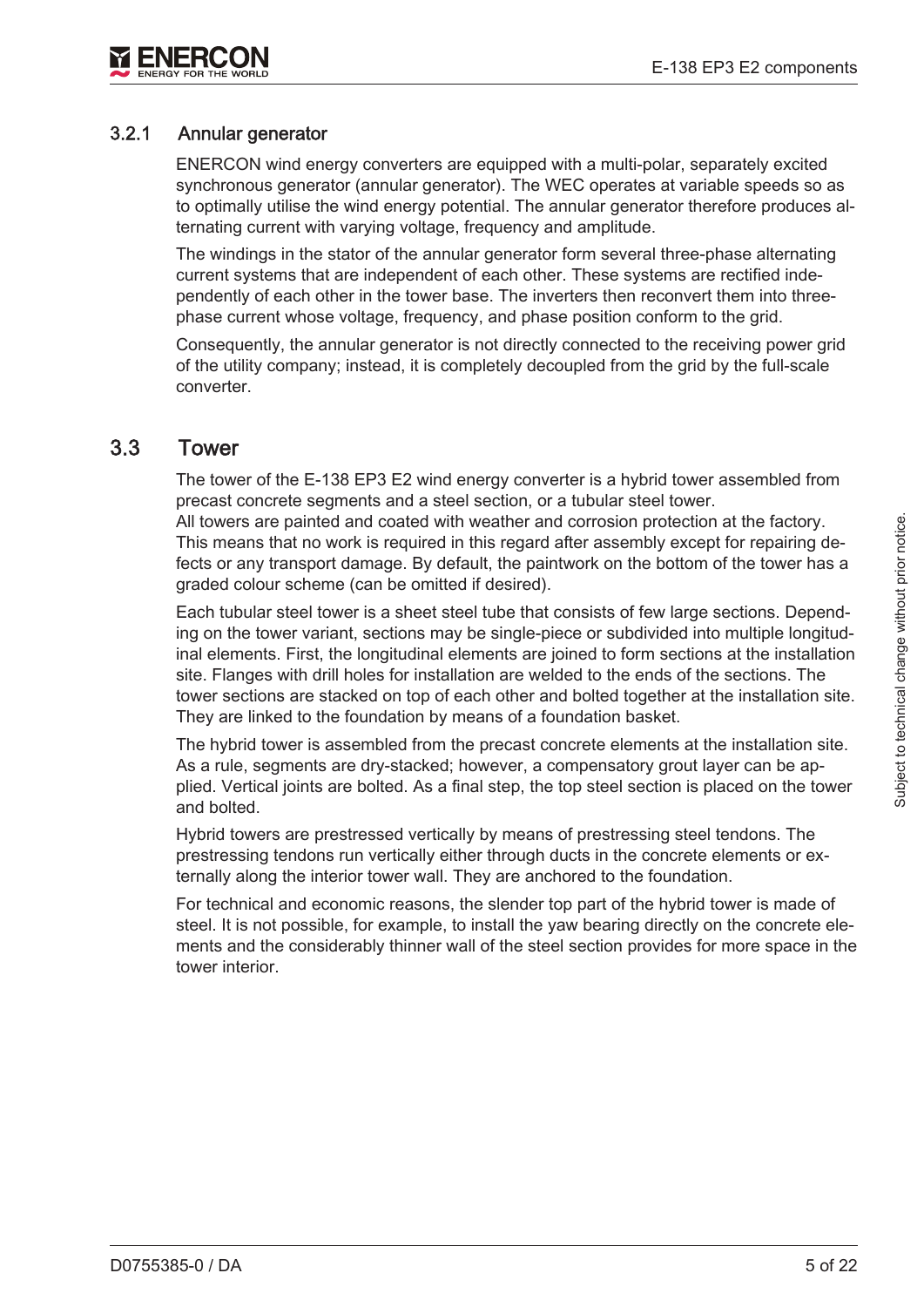#### 3.2.1 Annular generator

ENERCON wind energy converters are equipped with a multi-polar, separately excited synchronous generator (annular generator). The WEC operates at variable speeds so as to optimally utilise the wind energy potential. The annular generator therefore produces alternating current with varying voltage, frequency and amplitude.

The windings in the stator of the annular generator form several three-phase alternating current systems that are independent of each other. These systems are rectified independently of each other in the tower base. The inverters then reconvert them into threephase current whose voltage, frequency, and phase position conform to the grid.

Consequently, the annular generator is not directly connected to the receiving power grid of the utility company; instead, it is completely decoupled from the grid by the full-scale converter.

#### 3.3 Tower

The tower of the E-138 EP3 E2 wind energy converter is a hybrid tower assembled from precast concrete segments and a steel section, or a tubular steel tower.

All towers are painted and coated with weather and corrosion protection at the factory. This means that no work is required in this regard after assembly except for repairing defects or any transport damage. By default, the paintwork on the bottom of the tower has a graded colour scheme (can be omitted if desired).

Each tubular steel tower is a sheet steel tube that consists of few large sections. Depending on the tower variant, sections may be single-piece or subdivided into multiple longitudinal elements. First, the longitudinal elements are joined to form sections at the installation site. Flanges with drill holes for installation are welded to the ends of the sections. The tower sections are stacked on top of each other and bolted together at the installation site. They are linked to the foundation by means of a foundation basket.

The hybrid tower is assembled from the precast concrete elements at the installation site. As a rule, segments are dry-stacked; however, a compensatory grout layer can be applied. Vertical joints are bolted. As a final step, the top steel section is placed on the tower and bolted.

Hybrid towers are prestressed vertically by means of prestressing steel tendons. The prestressing tendons run vertically either through ducts in the concrete elements or externally along the interior tower wall. They are anchored to the foundation.

For technical and economic reasons, the slender top part of the hybrid tower is made of steel. It is not possible, for example, to install the yaw bearing directly on the concrete elements and the considerably thinner wall of the steel section provides for more space in the tower interior.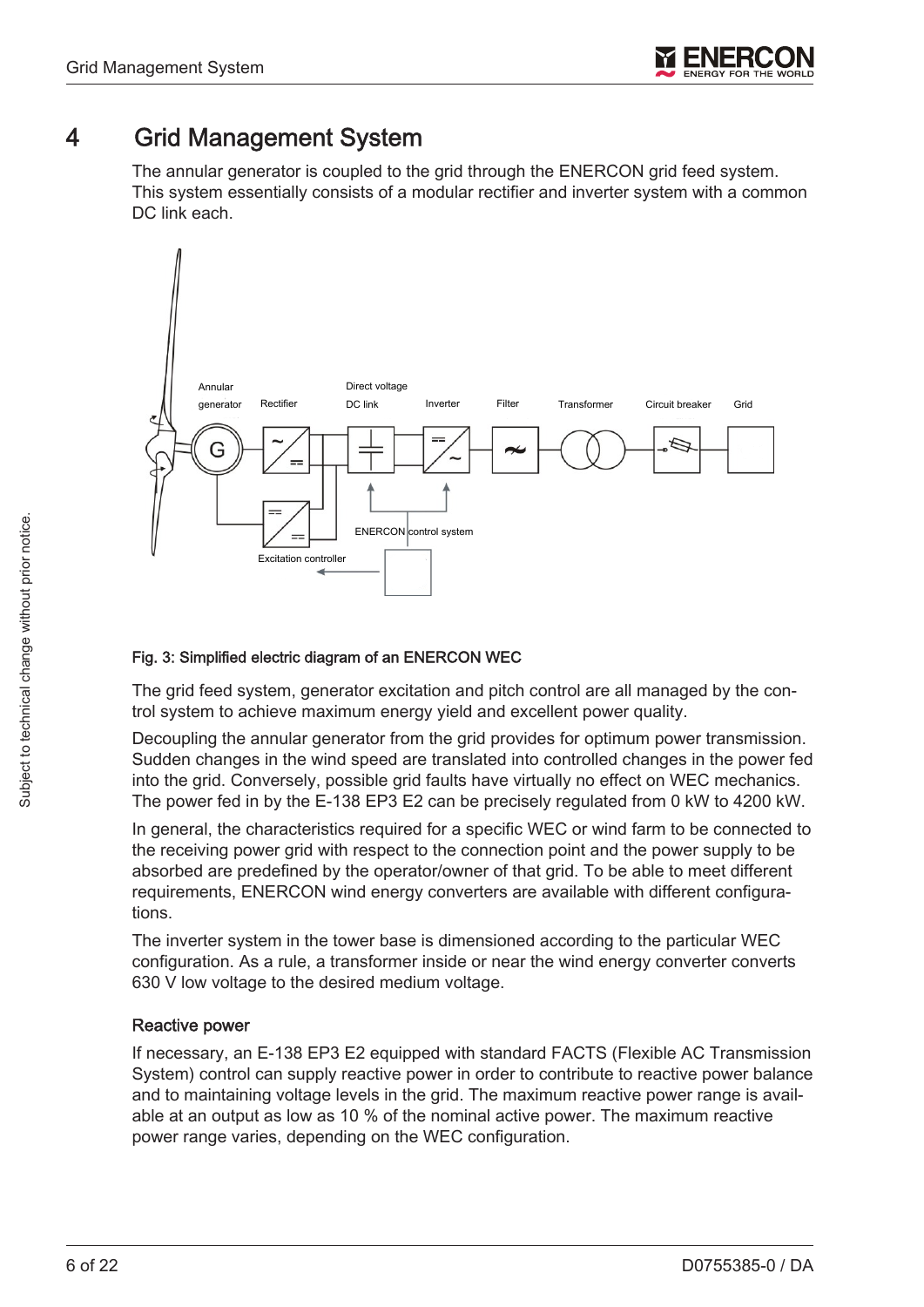### 4 Grid Management System

The annular generator is coupled to the grid through the ENERCON grid feed system. This system essentially consists of a modular rectifier and inverter system with a common DC link each.



#### Fig. 3: Simplified electric diagram of an ENERCON WEC

The grid feed system, generator excitation and pitch control are all managed by the control system to achieve maximum energy yield and excellent power quality.

Decoupling the annular generator from the grid provides for optimum power transmission. Sudden changes in the wind speed are translated into controlled changes in the power fed into the grid. Conversely, possible grid faults have virtually no effect on WEC mechanics. The power fed in by the E-138 EP3 E2 can be precisely regulated from 0 kW to 4200 kW.

In general, the characteristics required for a specific WEC or wind farm to be connected to the receiving power grid with respect to the connection point and the power supply to be absorbed are predefined by the operator/owner of that grid. To be able to meet different requirements, ENERCON wind energy converters are available with different configurations.

The inverter system in the tower base is dimensioned according to the particular WEC configuration. As a rule, a transformer inside or near the wind energy converter converts 630 V low voltage to the desired medium voltage.

#### Reactive power

If necessary, an E-138 EP3 E2 equipped with standard FACTS (Flexible AC Transmission System) control can supply reactive power in order to contribute to reactive power balance and to maintaining voltage levels in the grid. The maximum reactive power range is available at an output as low as 10 % of the nominal active power. The maximum reactive power range varies, depending on the WEC configuration.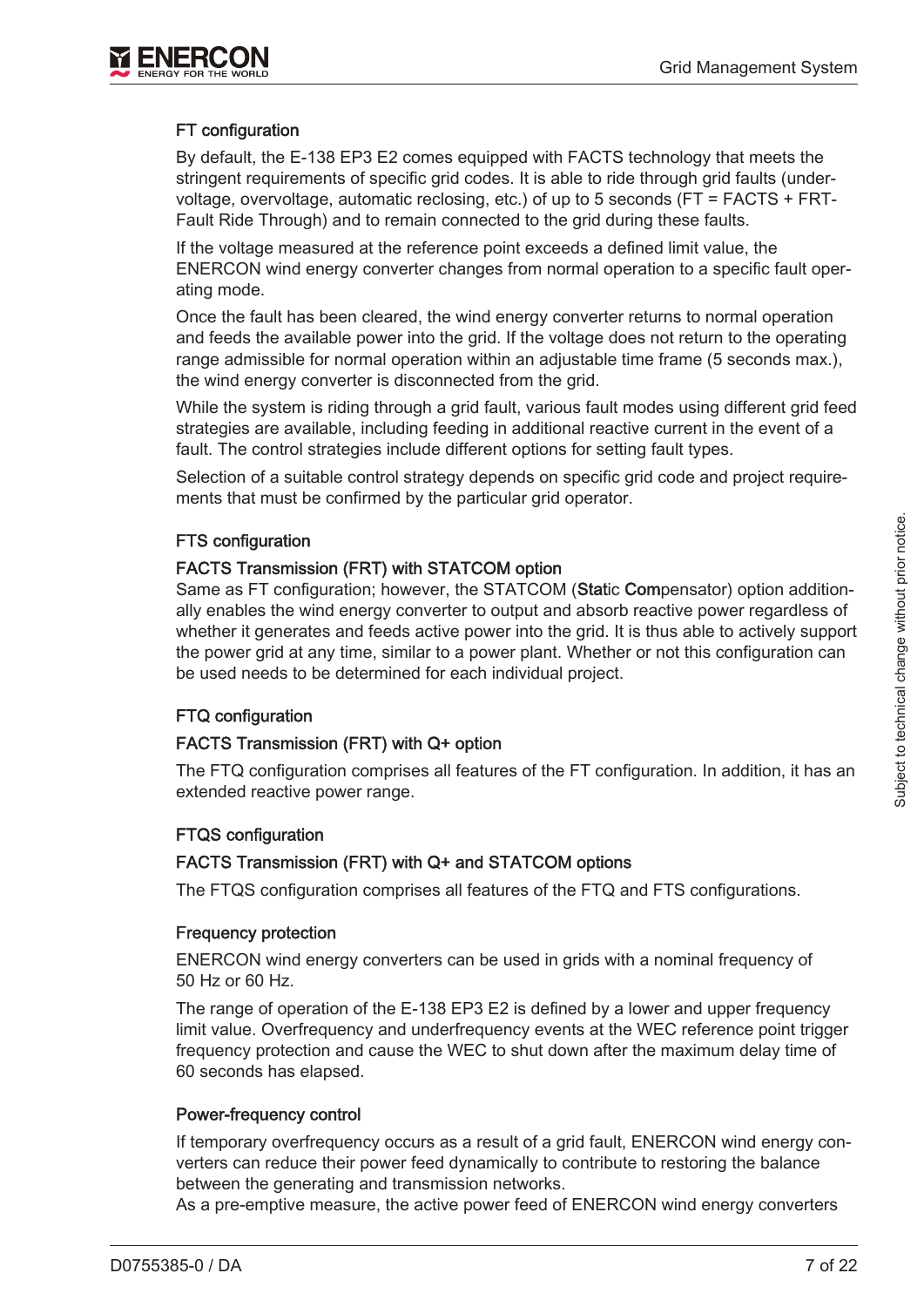

#### FT configuration

By default, the E-138 EP3 E2 comes equipped with FACTS technology that meets the stringent requirements of specific grid codes. It is able to ride through grid faults (undervoltage, overvoltage, automatic reclosing, etc.) of up to 5 seconds (FT = FACTS + FRT-Fault Ride Through) and to remain connected to the grid during these faults.

If the voltage measured at the reference point exceeds a defined limit value, the ENERCON wind energy converter changes from normal operation to a specific fault operating mode.

Once the fault has been cleared, the wind energy converter returns to normal operation and feeds the available power into the grid. If the voltage does not return to the operating range admissible for normal operation within an adjustable time frame (5 seconds max.), the wind energy converter is disconnected from the grid.

While the system is riding through a grid fault, various fault modes using different grid feed strategies are available, including feeding in additional reactive current in the event of a fault. The control strategies include different options for setting fault types.

Selection of a suitable control strategy depends on specific grid code and project requirements that must be confirmed by the particular grid operator.

#### FTS configuration

#### FACTS Transmission (FRT) with STATCOM option

Same as FT configuration; however, the STATCOM (Static Compensator) option additionally enables the wind energy converter to output and absorb reactive power regardless of whether it generates and feeds active power into the grid. It is thus able to actively support the power grid at any time, similar to a power plant. Whether or not this configuration can be used needs to be determined for each individual project.

#### FTQ configuration

#### FACTS Transmission (FRT) with Q+ option

The FTQ configuration comprises all features of the FT configuration. In addition, it has an extended reactive power range.

#### FTQS configuration

#### FACTS Transmission (FRT) with Q+ and STATCOM options

The FTQS configuration comprises all features of the FTQ and FTS configurations.

#### Frequency protection

ENERCON wind energy converters can be used in grids with a nominal frequency of 50 Hz or 60 Hz.

The range of operation of the E-138 EP3 E2 is defined by a lower and upper frequency limit value. Overfrequency and underfrequency events at the WEC reference point trigger frequency protection and cause the WEC to shut down after the maximum delay time of 60 seconds has elapsed.

#### Power-frequency control

If temporary overfrequency occurs as a result of a grid fault, ENERCON wind energy converters can reduce their power feed dynamically to contribute to restoring the balance between the generating and transmission networks.

As a pre-emptive measure, the active power feed of ENERCON wind energy converters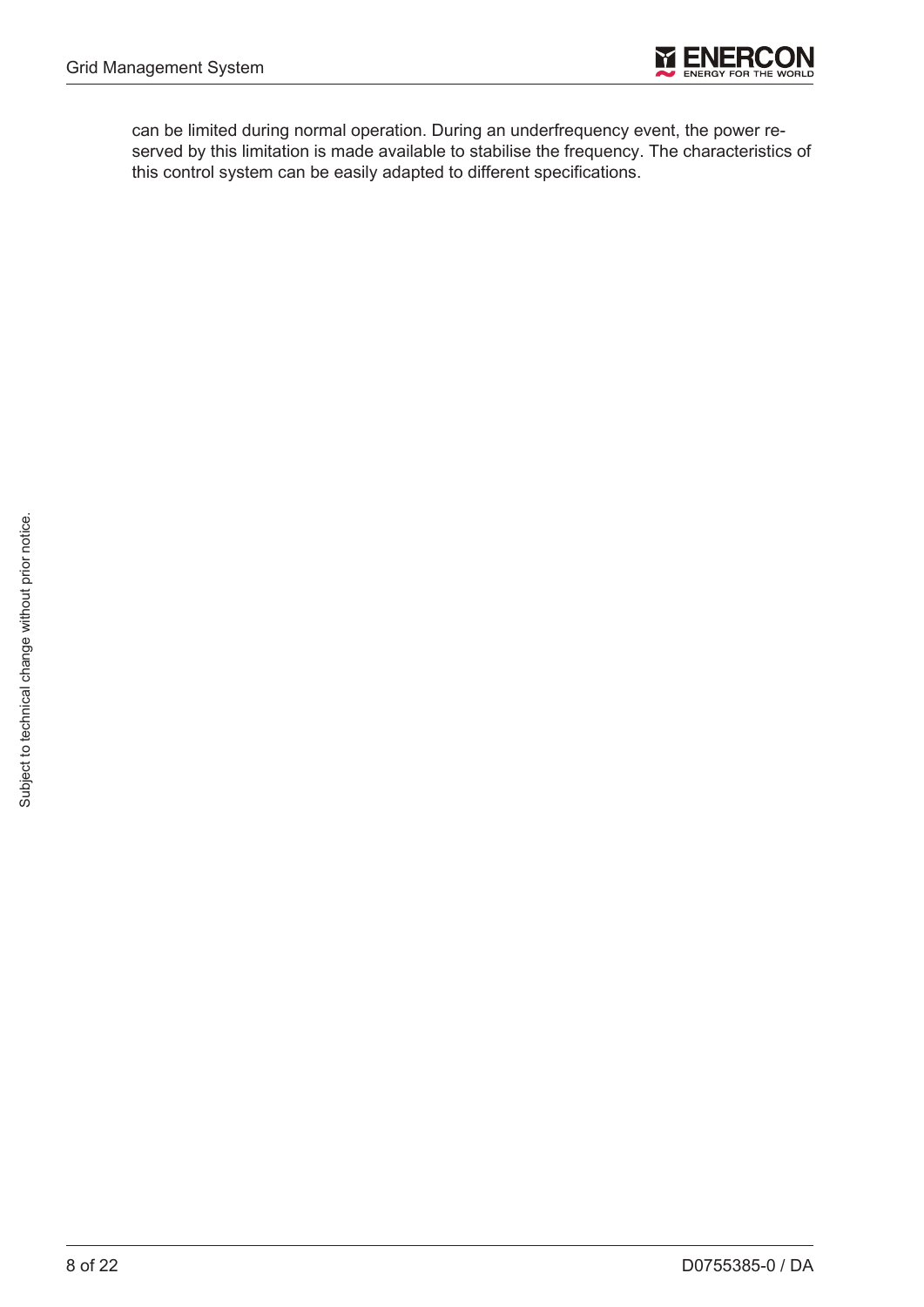

can be limited during normal operation. During an underfrequency event, the power reserved by this limitation is made available to stabilise the frequency. The characteristics of this control system can be easily adapted to different specifications.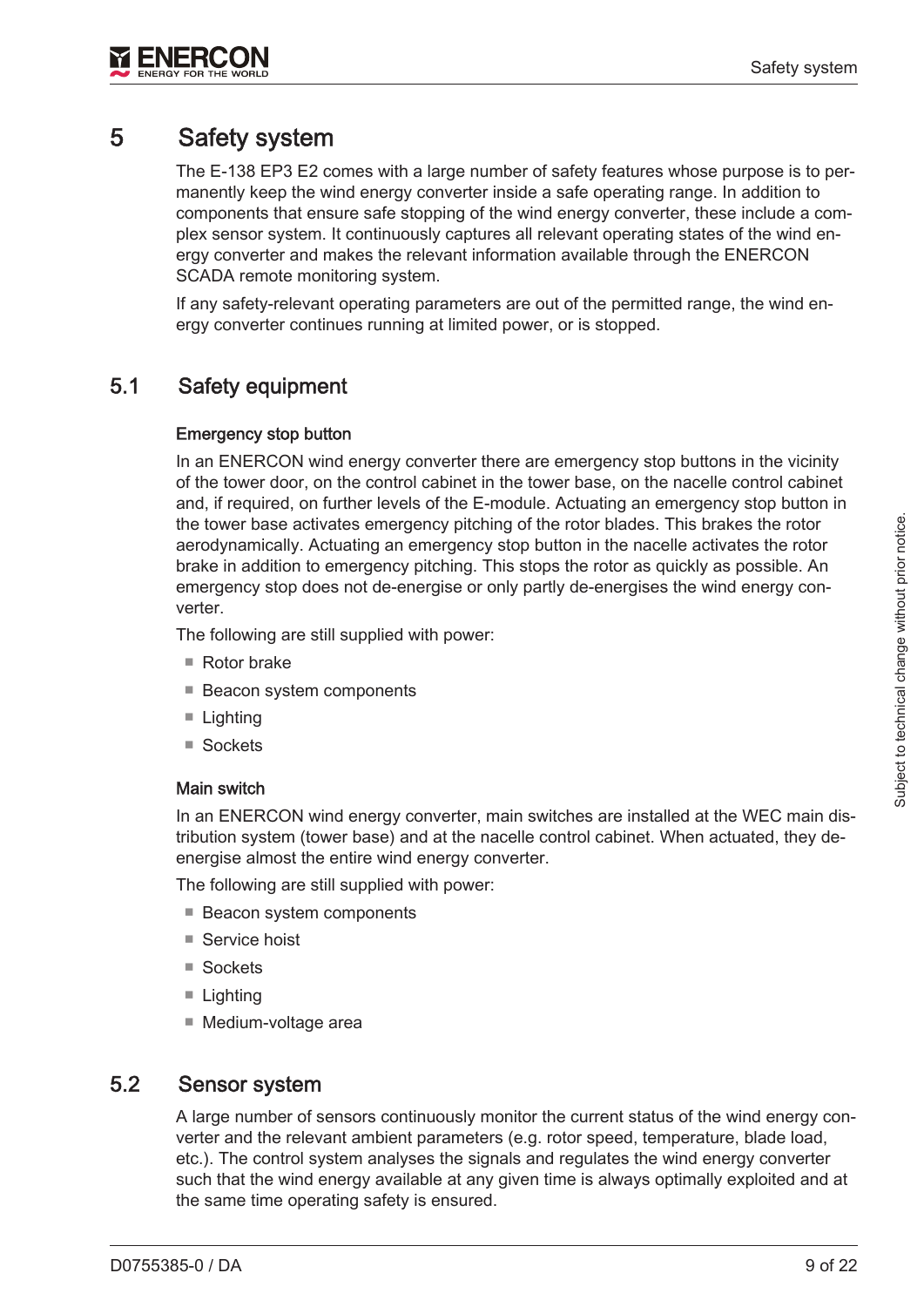### 5 Safety system

The E-138 EP3 E2 comes with a large number of safety features whose purpose is to permanently keep the wind energy converter inside a safe operating range. In addition to components that ensure safe stopping of the wind energy converter, these include a complex sensor system. It continuously captures all relevant operating states of the wind energy converter and makes the relevant information available through the ENERCON SCADA remote monitoring system.

If any safety-relevant operating parameters are out of the permitted range, the wind energy converter continues running at limited power, or is stopped.

### 5.1 Safety equipment

#### Emergency stop button

In an ENERCON wind energy converter there are emergency stop buttons in the vicinity of the tower door, on the control cabinet in the tower base, on the nacelle control cabinet and, if required, on further levels of the E-module. Actuating an emergency stop button in the tower base activates emergency pitching of the rotor blades. This brakes the rotor aerodynamically. Actuating an emergency stop button in the nacelle activates the rotor brake in addition to emergency pitching. This stops the rotor as quickly as possible. An emergency stop does not de-energise or only partly de-energises the wind energy converter.

The following are still supplied with power:

- Rotor brake
- Beacon system components
- Lighting
- Sockets

#### Main switch

In an ENERCON wind energy converter, main switches are installed at the WEC main distribution system (tower base) and at the nacelle control cabinet. When actuated, they deenergise almost the entire wind energy converter.

The following are still supplied with power:

- Beacon system components
- Service hoist
- Sockets
- Lighting
- Medium-voltage area

#### 5.2 Sensor system

A large number of sensors continuously monitor the current status of the wind energy converter and the relevant ambient parameters (e.g. rotor speed, temperature, blade load, etc.). The control system analyses the signals and regulates the wind energy converter such that the wind energy available at any given time is always optimally exploited and at the same time operating safety is ensured.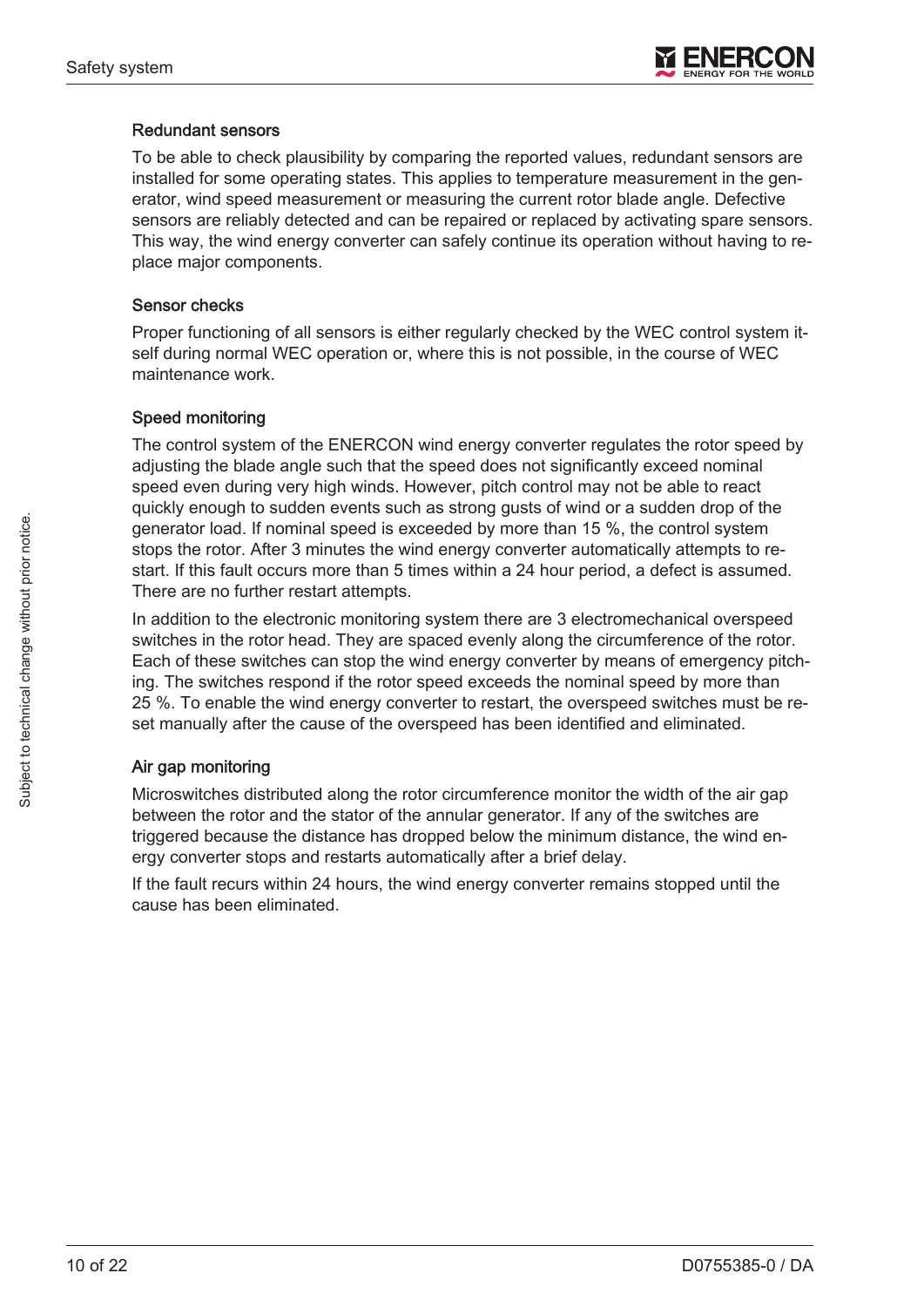#### Redundant sensors

To be able to check plausibility by comparing the reported values, redundant sensors are installed for some operating states. This applies to temperature measurement in the generator, wind speed measurement or measuring the current rotor blade angle. Defective sensors are reliably detected and can be repaired or replaced by activating spare sensors. This way, the wind energy converter can safely continue its operation without having to replace major components.

#### Sensor checks

Proper functioning of all sensors is either regularly checked by the WEC control system itself during normal WEC operation or, where this is not possible, in the course of WEC maintenance work.

#### Speed monitoring

The control system of the ENERCON wind energy converter regulates the rotor speed by adjusting the blade angle such that the speed does not significantly exceed nominal speed even during very high winds. However, pitch control may not be able to react quickly enough to sudden events such as strong gusts of wind or a sudden drop of the generator load. If nominal speed is exceeded by more than 15 %, the control system stops the rotor. After 3 minutes the wind energy converter automatically attempts to restart. If this fault occurs more than 5 times within a 24 hour period, a defect is assumed. There are no further restart attempts.

In addition to the electronic monitoring system there are 3 electromechanical overspeed switches in the rotor head. They are spaced evenly along the circumference of the rotor. Each of these switches can stop the wind energy converter by means of emergency pitching. The switches respond if the rotor speed exceeds the nominal speed by more than 25 %. To enable the wind energy converter to restart, the overspeed switches must be reset manually after the cause of the overspeed has been identified and eliminated.

#### Air gap monitoring

Microswitches distributed along the rotor circumference monitor the width of the air gap between the rotor and the stator of the annular generator. If any of the switches are triggered because the distance has dropped below the minimum distance, the wind energy converter stops and restarts automatically after a brief delay.

If the fault recurs within 24 hours, the wind energy converter remains stopped until the cause has been eliminated.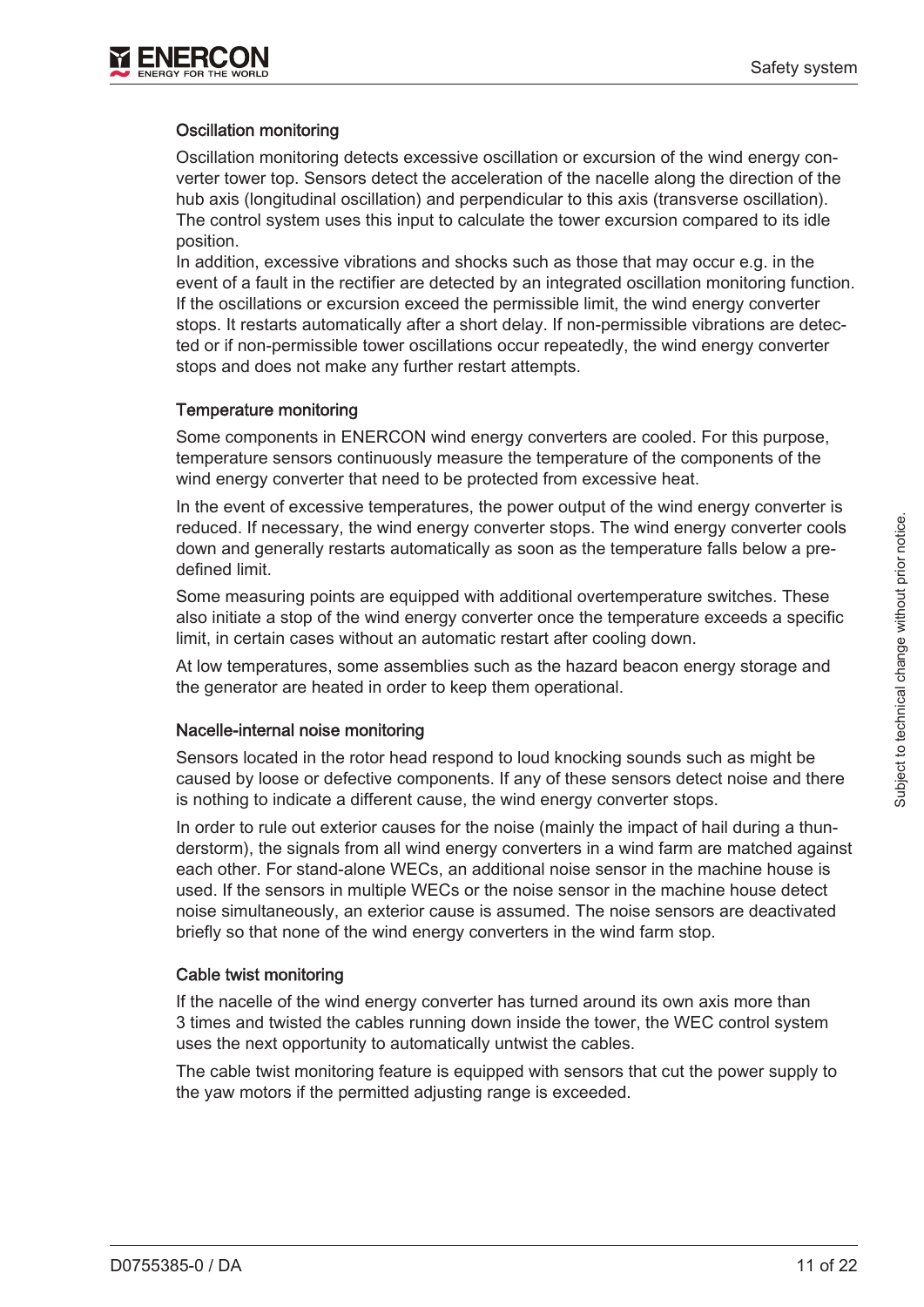#### Oscillation monitoring

Oscillation monitoring detects excessive oscillation or excursion of the wind energy converter tower top. Sensors detect the acceleration of the nacelle along the direction of the hub axis (longitudinal oscillation) and perpendicular to this axis (transverse oscillation). The control system uses this input to calculate the tower excursion compared to its idle position.

In addition, excessive vibrations and shocks such as those that may occur e.g. in the event of a fault in the rectifier are detected by an integrated oscillation monitoring function. If the oscillations or excursion exceed the permissible limit, the wind energy converter stops. It restarts automatically after a short delay. If non-permissible vibrations are detected or if non-permissible tower oscillations occur repeatedly, the wind energy converter stops and does not make any further restart attempts.

#### Temperature monitoring

Some components in ENERCON wind energy converters are cooled. For this purpose, temperature sensors continuously measure the temperature of the components of the wind energy converter that need to be protected from excessive heat.

In the event of excessive temperatures, the power output of the wind energy converter is reduced. If necessary, the wind energy converter stops. The wind energy converter cools down and generally restarts automatically as soon as the temperature falls below a predefined limit.

Some measuring points are equipped with additional overtemperature switches. These also initiate a stop of the wind energy converter once the temperature exceeds a specific limit, in certain cases without an automatic restart after cooling down.

At low temperatures, some assemblies such as the hazard beacon energy storage and the generator are heated in order to keep them operational.

#### Nacelle-internal noise monitoring

Sensors located in the rotor head respond to loud knocking sounds such as might be caused by loose or defective components. If any of these sensors detect noise and there is nothing to indicate a different cause, the wind energy converter stops.

In order to rule out exterior causes for the noise (mainly the impact of hail during a thunderstorm), the signals from all wind energy converters in a wind farm are matched against each other. For stand-alone WECs, an additional noise sensor in the machine house is used. If the sensors in multiple WECs or the noise sensor in the machine house detect noise simultaneously, an exterior cause is assumed. The noise sensors are deactivated briefly so that none of the wind energy converters in the wind farm stop.

#### Cable twist monitoring

If the nacelle of the wind energy converter has turned around its own axis more than 3 times and twisted the cables running down inside the tower, the WEC control system uses the next opportunity to automatically untwist the cables.

The cable twist monitoring feature is equipped with sensors that cut the power supply to the yaw motors if the permitted adjusting range is exceeded.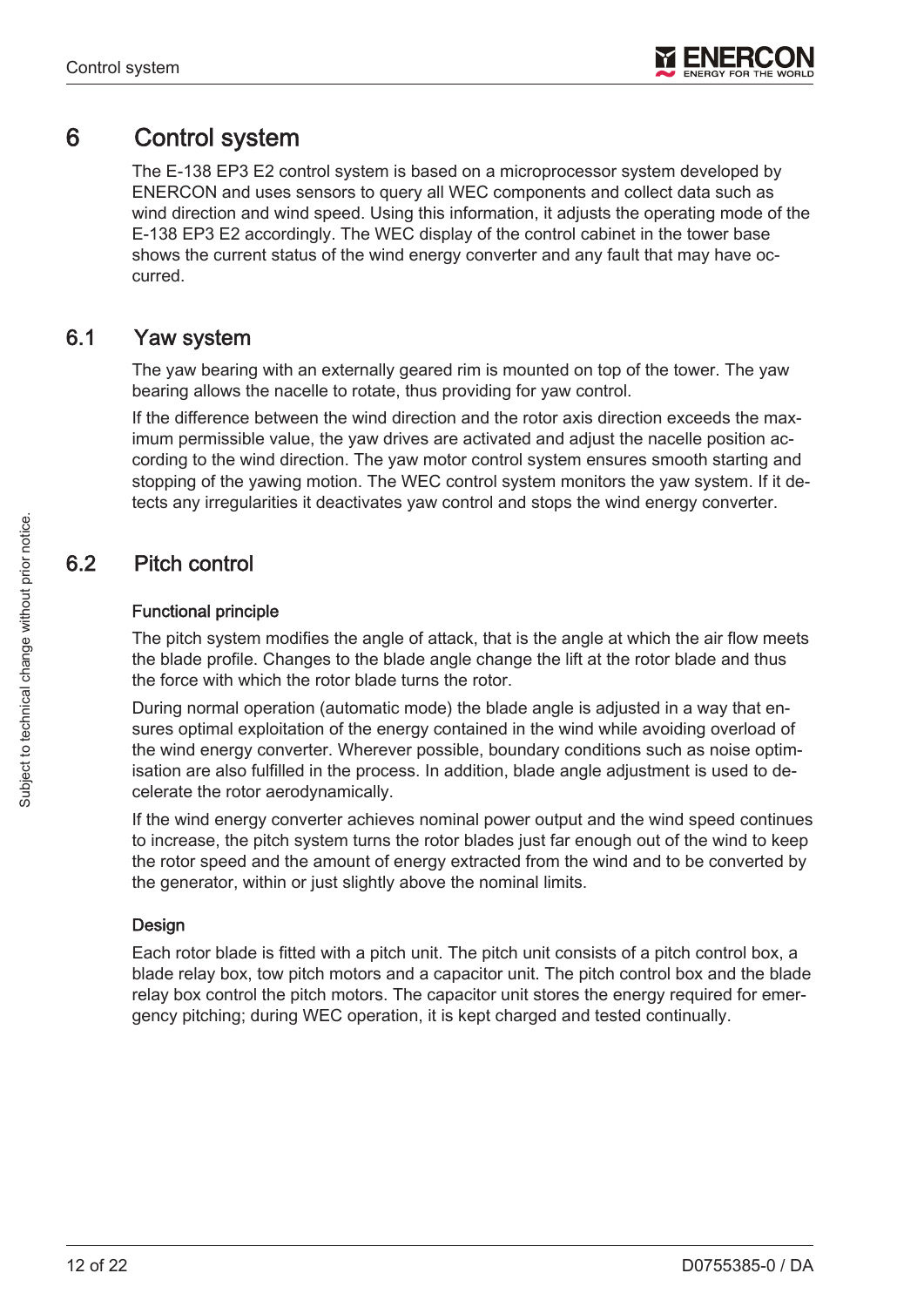### 6 Control system

The E-138 EP3 E2 control system is based on a microprocessor system developed by ENERCON and uses sensors to query all WEC components and collect data such as wind direction and wind speed. Using this information, it adiusts the operating mode of the E-138 EP3 E2 accordingly. The WEC display of the control cabinet in the tower base shows the current status of the wind energy converter and any fault that may have occurred.

#### 6.1 Yaw system

The yaw bearing with an externally geared rim is mounted on top of the tower. The yaw bearing allows the nacelle to rotate, thus providing for yaw control.

If the difference between the wind direction and the rotor axis direction exceeds the maximum permissible value, the yaw drives are activated and adjust the nacelle position according to the wind direction. The yaw motor control system ensures smooth starting and stopping of the yawing motion. The WEC control system monitors the yaw system. If it detects any irregularities it deactivates yaw control and stops the wind energy converter.

### 6.2 Pitch control

#### Functional principle

The pitch system modifies the angle of attack, that is the angle at which the air flow meets the blade profile. Changes to the blade angle change the lift at the rotor blade and thus the force with which the rotor blade turns the rotor.

During normal operation (automatic mode) the blade angle is adjusted in a way that ensures optimal exploitation of the energy contained in the wind while avoiding overload of the wind energy converter. Wherever possible, boundary conditions such as noise optimisation are also fulfilled in the process. In addition, blade angle adjustment is used to decelerate the rotor aerodynamically.

If the wind energy converter achieves nominal power output and the wind speed continues to increase, the pitch system turns the rotor blades just far enough out of the wind to keep the rotor speed and the amount of energy extracted from the wind and to be converted by the generator, within or just slightly above the nominal limits.

#### Design

Each rotor blade is fitted with a pitch unit. The pitch unit consists of a pitch control box, a blade relay box, tow pitch motors and a capacitor unit. The pitch control box and the blade relay box control the pitch motors. The capacitor unit stores the energy required for emergency pitching; during WEC operation, it is kept charged and tested continually.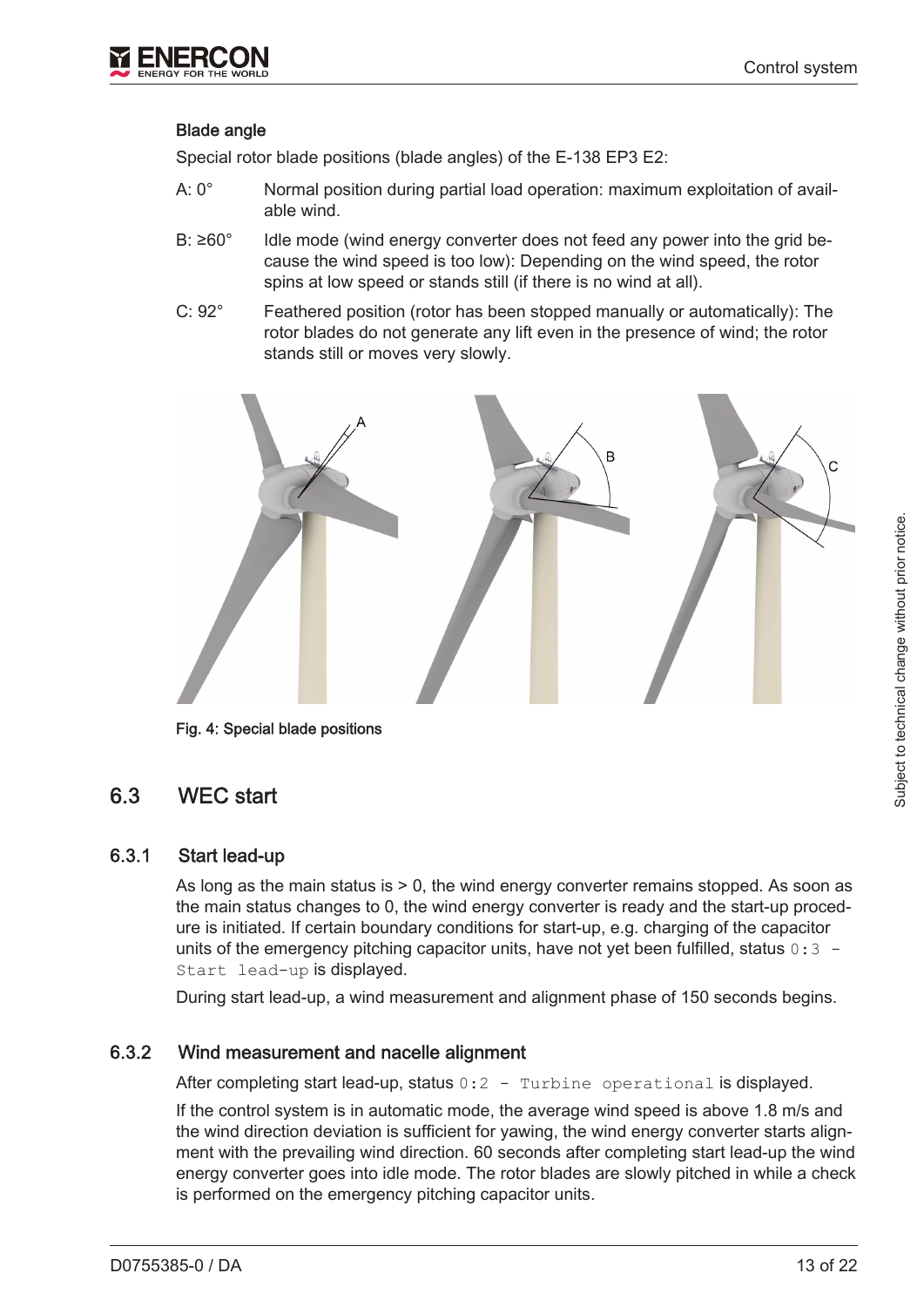

#### Blade angle

Special rotor blade positions (blade angles) of the E-138 EP3 E2:

- A: 0° Normal position during partial load operation: maximum exploitation of available wind.
- B: ≥60° Idle mode (wind energy converter does not feed any power into the grid because the wind speed is too low): Depending on the wind speed, the rotor spins at low speed or stands still (if there is no wind at all).
- C: 92° Feathered position (rotor has been stopped manually or automatically): The rotor blades do not generate any lift even in the presence of wind; the rotor stands still or moves very slowly.



#### 6.3 WEC start

#### 6.3.1 Start lead-up

As long as the main status is > 0, the wind energy converter remains stopped. As soon as the main status changes to 0, the wind energy converter is ready and the start-up procedure is initiated. If certain boundary conditions for start-up, e.g. charging of the capacitor units of the emergency pitching capacitor units, have not yet been fulfilled, status  $0:3 -$ Start lead-up is displayed.

During start lead-up, a wind measurement and alignment phase of 150 seconds begins.

#### 6.3.2 Wind measurement and nacelle alignment

After completing start lead-up, status  $0:2$  - Turbine operational is displayed.

If the control system is in automatic mode, the average wind speed is above 1.8 m/s and the wind direction deviation is sufficient for yawing, the wind energy converter starts alignment with the prevailing wind direction. 60 seconds after completing start lead-up the wind energy converter goes into idle mode. The rotor blades are slowly pitched in while a check is performed on the emergency pitching capacitor units.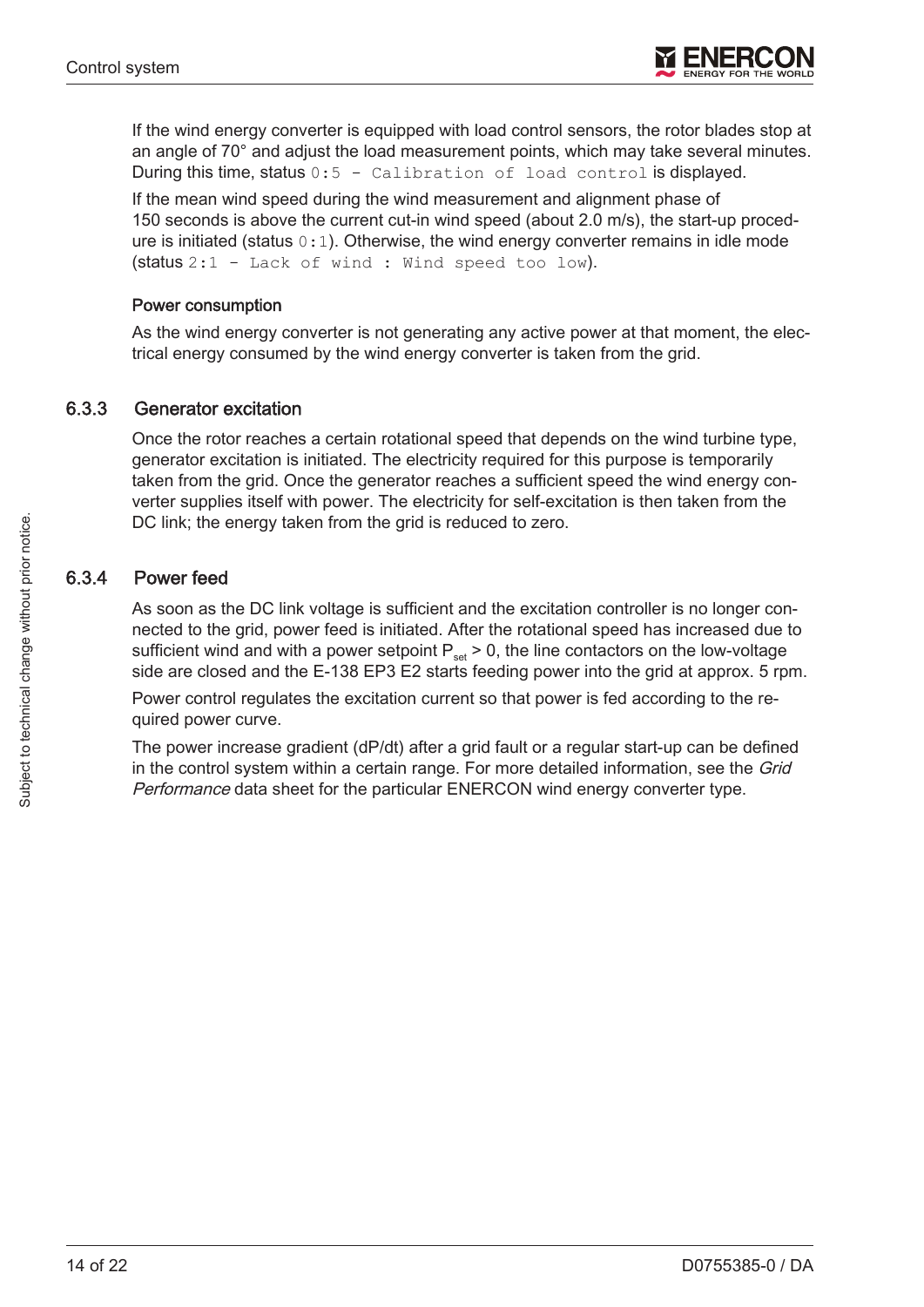If the wind energy converter is equipped with load control sensors, the rotor blades stop at an angle of 70° and adjust the load measurement points, which may take several minutes. During this time, status 0:5 - Calibration of load control is displayed.

If the mean wind speed during the wind measurement and alignment phase of 150 seconds is above the current cut-in wind speed (about 2.0 m/s), the start-up procedure is initiated (status  $0:1$ ). Otherwise, the wind energy converter remains in idle mode (status 2:1 - Lack of wind : Wind speed too low).

#### Power consumption

As the wind energy converter is not generating any active power at that moment, the electrical energy consumed by the wind energy converter is taken from the grid.

#### 6.3.3 Generator excitation

Once the rotor reaches a certain rotational speed that depends on the wind turbine type, generator excitation is initiated. The electricity required for this purpose is temporarily taken from the grid. Once the generator reaches a sufficient speed the wind energy converter supplies itself with power. The electricity for self-excitation is then taken from the DC link; the energy taken from the grid is reduced to zero.

#### 6.3.4 Power feed

As soon as the DC link voltage is sufficient and the excitation controller is no longer connected to the grid, power feed is initiated. After the rotational speed has increased due to sufficient wind and with a power setpoint  $P_{\text{set}} > 0$ , the line contactors on the low-voltage side are closed and the E-138 EP3 E2 starts feeding power into the grid at approx. 5 rpm.

Power control regulates the excitation current so that power is fed according to the required power curve.

The power increase gradient (dP/dt) after a grid fault or a regular start-up can be defined in the control system within a certain range. For more detailed information, see the Grid Performance data sheet for the particular ENERCON wind energy converter type.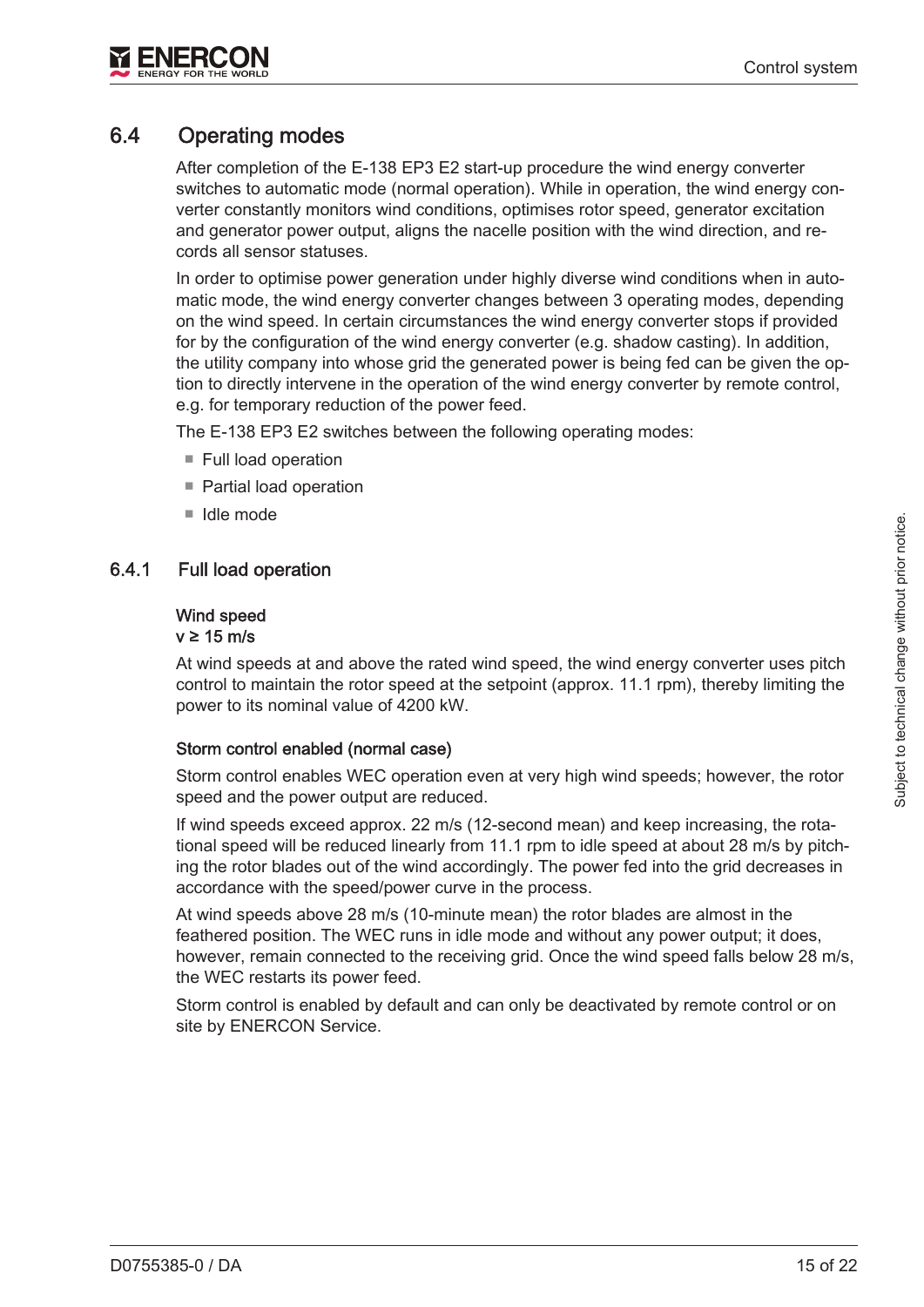### 6.4 Operating modes

After completion of the E-138 EP3 E2 start-up procedure the wind energy converter switches to automatic mode (normal operation). While in operation, the wind energy converter constantly monitors wind conditions, optimises rotor speed, generator excitation and generator power output, aligns the nacelle position with the wind direction, and records all sensor statuses.

In order to optimise power generation under highly diverse wind conditions when in automatic mode, the wind energy converter changes between 3 operating modes, depending on the wind speed. In certain circumstances the wind energy converter stops if provided for by the configuration of the wind energy converter (e.g. shadow casting). In addition, the utility company into whose grid the generated power is being fed can be given the option to directly intervene in the operation of the wind energy converter by remote control, e.g. for temporary reduction of the power feed.

The E-138 EP3 E2 switches between the following operating modes:

- Full load operation
- Partial load operation
- Idle mode

#### 6.4.1 Full load operation

#### Wind speed v ≥ 15 m/s

At wind speeds at and above the rated wind speed, the wind energy converter uses pitch control to maintain the rotor speed at the setpoint (approx. 11.1 rpm), thereby limiting the power to its nominal value of 4200 kW.

#### Storm control enabled (normal case)

Storm control enables WEC operation even at very high wind speeds; however, the rotor speed and the power output are reduced.

If wind speeds exceed approx. 22 m/s (12-second mean) and keep increasing, the rotational speed will be reduced linearly from 11.1 rpm to idle speed at about 28 m/s by pitching the rotor blades out of the wind accordingly. The power fed into the grid decreases in accordance with the speed/power curve in the process.

At wind speeds above 28 m/s (10-minute mean) the rotor blades are almost in the feathered position. The WEC runs in idle mode and without any power output; it does, however, remain connected to the receiving grid. Once the wind speed falls below 28 m/s, the WEC restarts its power feed.

Storm control is enabled by default and can only be deactivated by remote control or on site by ENERCON Service.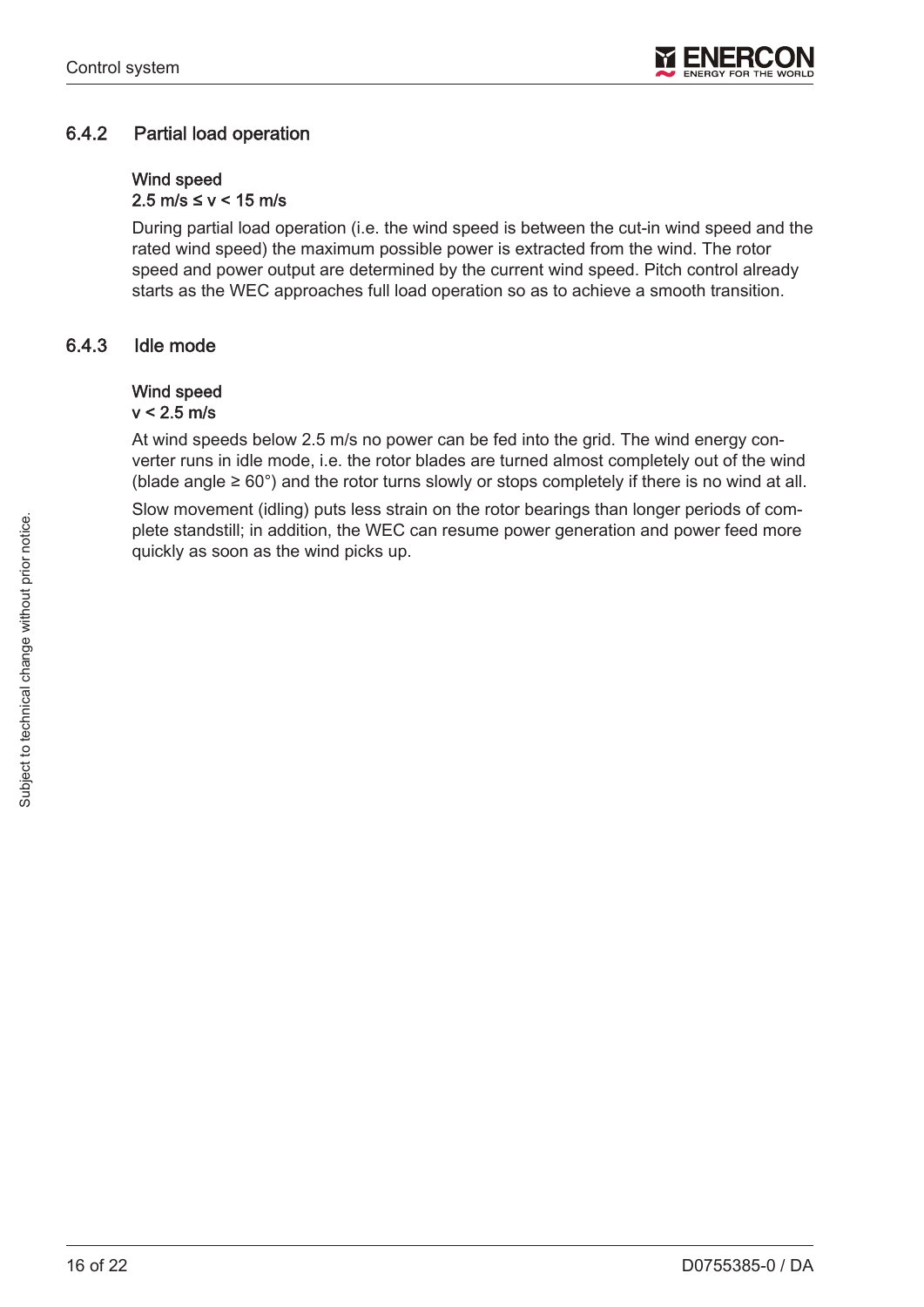#### 6.4.2 Partial load operation

#### Wind speed 2.5 m/s ≤  $v$  < 15 m/s

During partial load operation (i.e. the wind speed is between the cut-in wind speed and the rated wind speed) the maximum possible power is extracted from the wind. The rotor speed and power output are determined by the current wind speed. Pitch control already starts as the WEC approaches full load operation so as to achieve a smooth transition.

#### 6.4.3 Idle mode

#### Wind speed  $v < 2.5$  m/s

At wind speeds below 2.5 m/s no power can be fed into the grid. The wind energy converter runs in idle mode, i.e. the rotor blades are turned almost completely out of the wind (blade angle  $\geq 60^{\circ}$ ) and the rotor turns slowly or stops completely if there is no wind at all.

Slow movement (idling) puts less strain on the rotor bearings than longer periods of complete standstill; in addition, the WEC can resume power generation and power feed more quickly as soon as the wind picks up.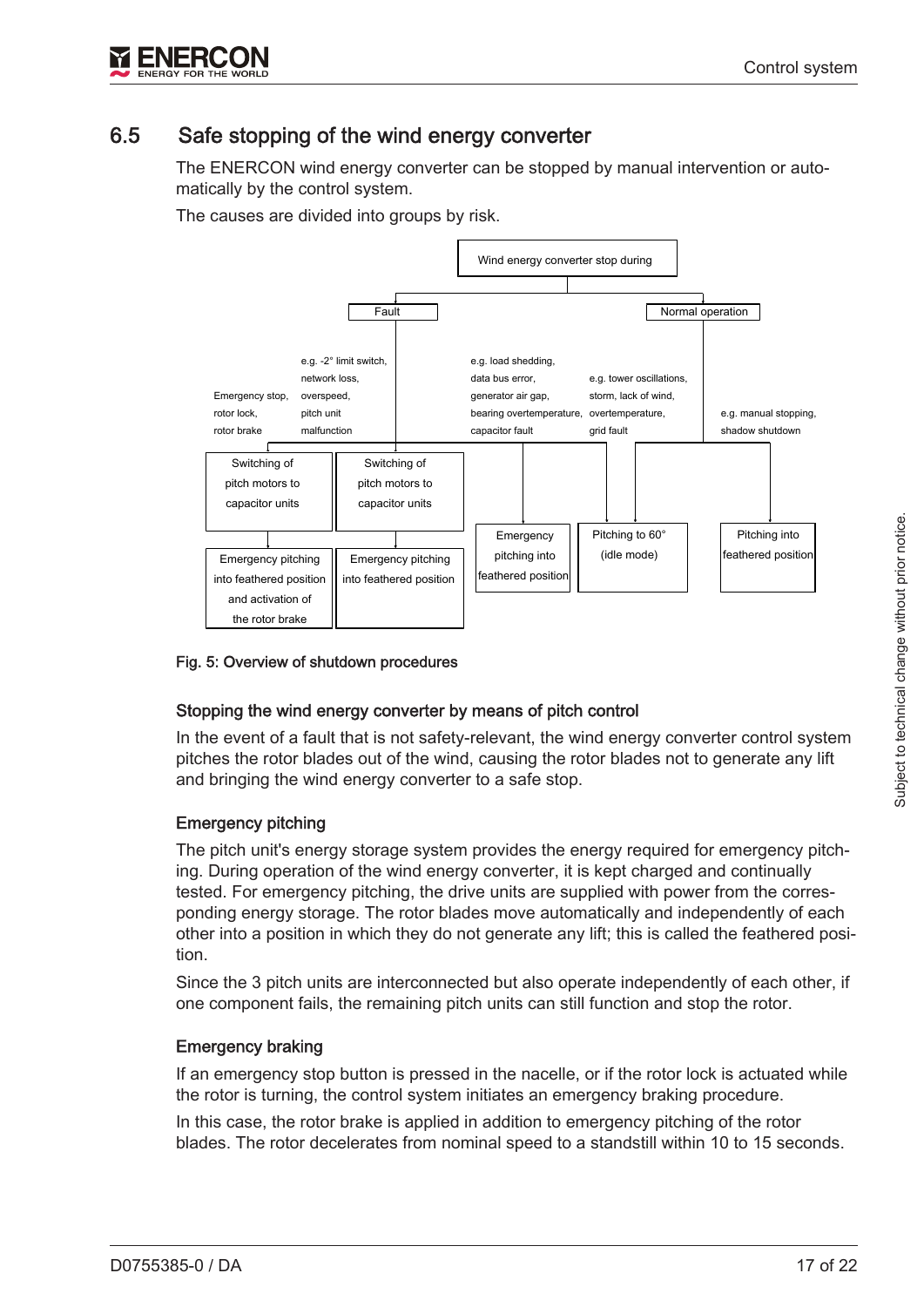### 6.5 Safe stopping of the wind energy converter

The ENERCON wind energy converter can be stopped by manual intervention or automatically by the control system.

The causes are divided into groups by risk.



#### Fig. 5: Overview of shutdown procedures

#### Stopping the wind energy converter by means of pitch control

In the event of a fault that is not safety-relevant, the wind energy converter control system pitches the rotor blades out of the wind, causing the rotor blades not to generate any lift and bringing the wind energy converter to a safe stop.

#### Emergency pitching

The pitch unit's energy storage system provides the energy required for emergency pitching. During operation of the wind energy converter, it is kept charged and continually tested. For emergency pitching, the drive units are supplied with power from the corresponding energy storage. The rotor blades move automatically and independently of each other into a position in which they do not generate any lift; this is called the feathered position.

Since the 3 pitch units are interconnected but also operate independently of each other, if one component fails, the remaining pitch units can still function and stop the rotor.

#### Emergency braking

If an emergency stop button is pressed in the nacelle, or if the rotor lock is actuated while the rotor is turning, the control system initiates an emergency braking procedure.

In this case, the rotor brake is applied in addition to emergency pitching of the rotor blades. The rotor decelerates from nominal speed to a standstill within 10 to 15 seconds.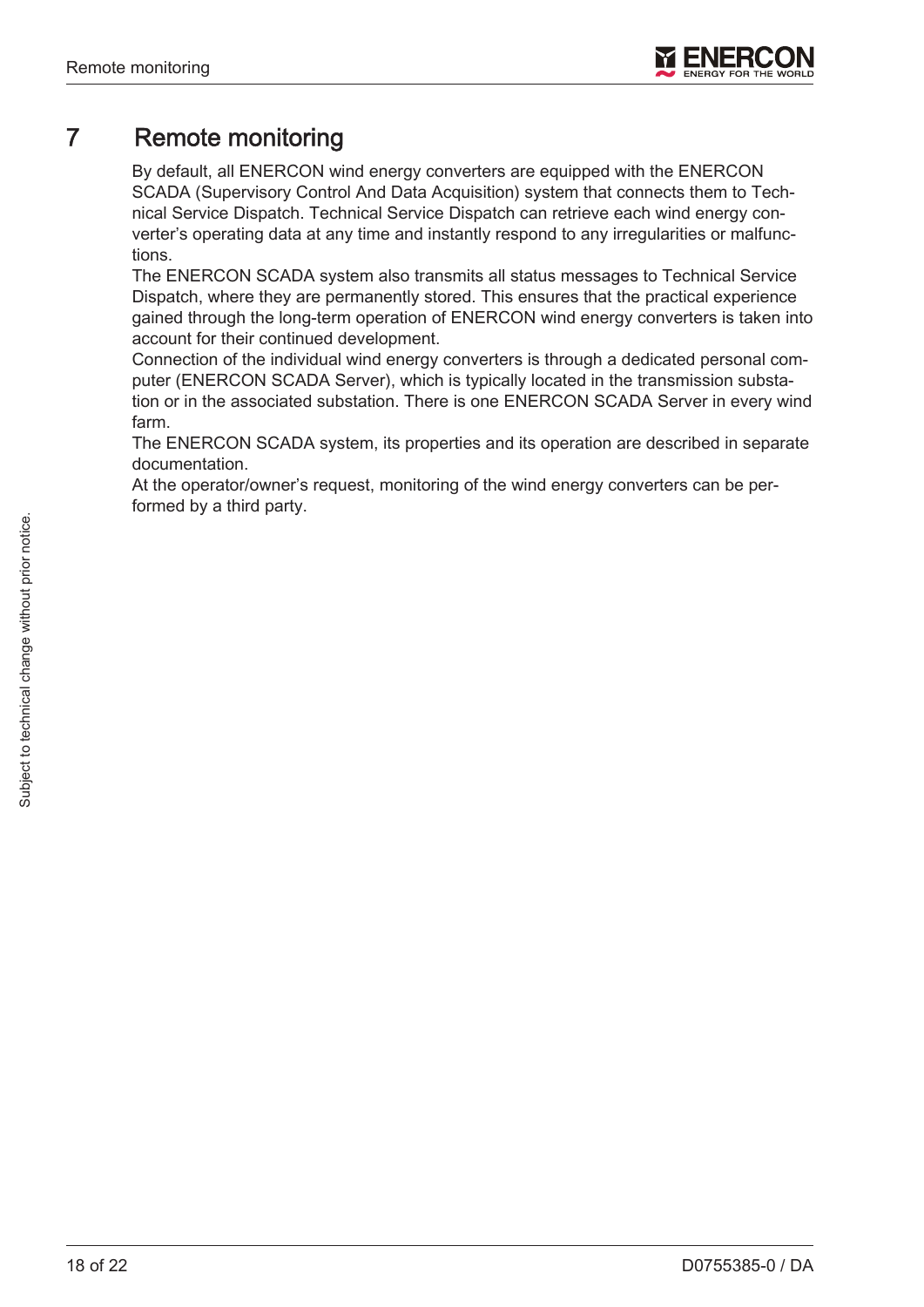### 7 Remote monitoring

By default, all ENERCON wind energy converters are equipped with the ENERCON SCADA (Supervisory Control And Data Acquisition) system that connects them to Technical Service Dispatch. Technical Service Dispatch can retrieve each wind energy converter's operating data at any time and instantly respond to any irregularities or malfunctions.

The ENERCON SCADA system also transmits all status messages to Technical Service Dispatch, where they are permanently stored. This ensures that the practical experience gained through the long-term operation of ENERCON wind energy converters is taken into account for their continued development.

Connection of the individual wind energy converters is through a dedicated personal computer (ENERCON SCADA Server), which is typically located in the transmission substation or in the associated substation. There is one ENERCON SCADA Server in every wind farm.

The ENERCON SCADA system, its properties and its operation are described in separate documentation.

At the operator/owner's request, monitoring of the wind energy converters can be performed by a third party.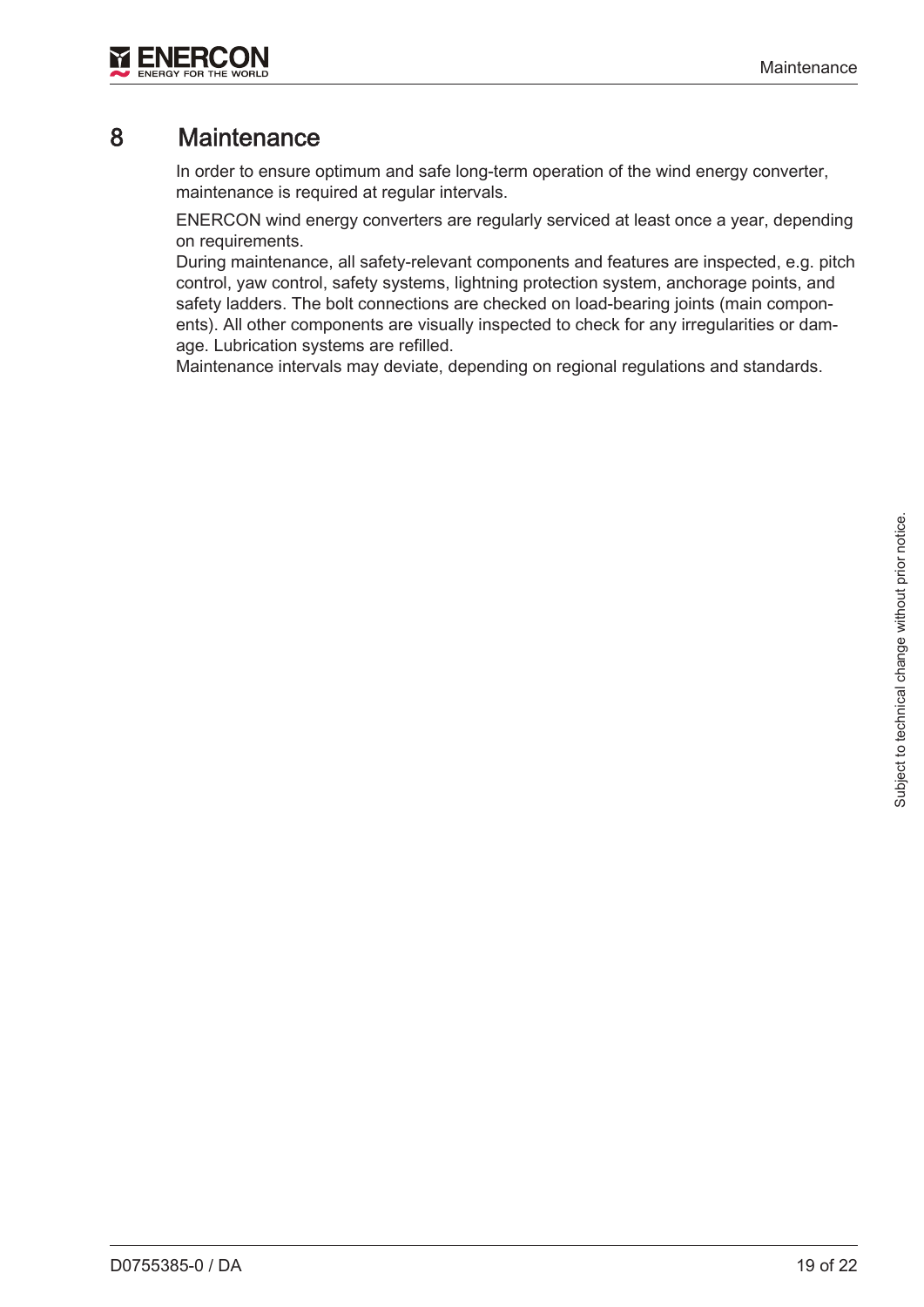### 8 Maintenance

In order to ensure optimum and safe long-term operation of the wind energy converter, maintenance is required at regular intervals.

ENERCON wind energy converters are regularly serviced at least once a year, depending on requirements.

During maintenance, all safety-relevant components and features are inspected, e.g. pitch control, yaw control, safety systems, lightning protection system, anchorage points, and safety ladders. The bolt connections are checked on load-bearing joints (main components). All other components are visually inspected to check for any irregularities or damage. Lubrication systems are refilled.

Maintenance intervals may deviate, depending on regional regulations and standards.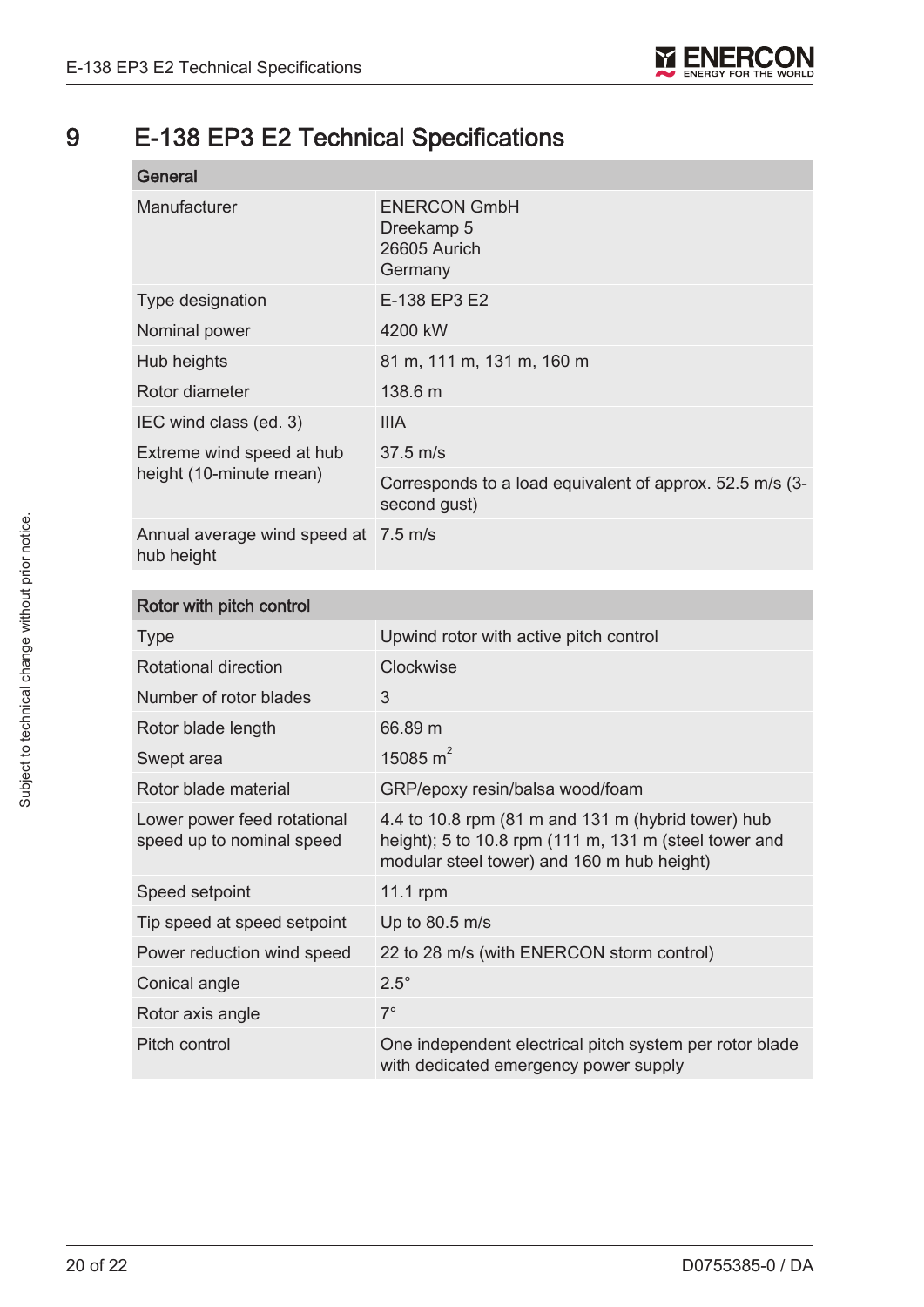## 9 E-138 EP3 E2 Technical Specifications

| General                                            |                                                                          |
|----------------------------------------------------|--------------------------------------------------------------------------|
| Manufacturer                                       | <b>ENERCON GmbH</b><br>Dreekamp 5<br>26605 Aurich<br>Germany             |
| Type designation                                   | E-138 EP3 E2                                                             |
| Nominal power                                      | 4200 kW                                                                  |
| Hub heights                                        | 81 m, 111 m, 131 m, 160 m                                                |
| Rotor diameter                                     | 138.6 m                                                                  |
| IEC wind class (ed. 3)                             | IIIA.                                                                    |
| Extreme wind speed at hub                          | $37.5 \text{ m/s}$                                                       |
| height (10-minute mean)                            | Corresponds to a load equivalent of approx. 52.5 m/s (3-<br>second gust) |
| Annual average wind speed at 7.5 m/s<br>hub height |                                                                          |
|                                                    |                                                                          |

|  | Rotor with pitch control |
|--|--------------------------|
|  |                          |

| <b>Type</b>                                              | Upwind rotor with active pitch control                                                                                                                                       |  |  |
|----------------------------------------------------------|------------------------------------------------------------------------------------------------------------------------------------------------------------------------------|--|--|
| Rotational direction                                     | Clockwise                                                                                                                                                                    |  |  |
| Number of rotor blades                                   | 3                                                                                                                                                                            |  |  |
| Rotor blade length                                       | 66.89 m                                                                                                                                                                      |  |  |
| Swept area                                               | 15085 $m^2$                                                                                                                                                                  |  |  |
| Rotor blade material                                     | GRP/epoxy resin/balsa wood/foam                                                                                                                                              |  |  |
| Lower power feed rotational<br>speed up to nominal speed | 4.4 to 10.8 rpm (81 m and 131 m (hybrid tower) hub<br>height); 5 to 10.8 rpm $(111 \text{ m}, 131 \text{ m})$ (steel tower and<br>modular steel tower) and 160 m hub height) |  |  |
| Speed setpoint                                           | 11.1 rpm                                                                                                                                                                     |  |  |
| Tip speed at speed setpoint                              | Up to $80.5$ m/s                                                                                                                                                             |  |  |
| Power reduction wind speed                               | 22 to 28 m/s (with ENERCON storm control)                                                                                                                                    |  |  |
| Conical angle                                            | $2.5^\circ$                                                                                                                                                                  |  |  |
| Rotor axis angle                                         | $7^\circ$                                                                                                                                                                    |  |  |
| Pitch control                                            | One independent electrical pitch system per rotor blade<br>with dedicated emergency power supply                                                                             |  |  |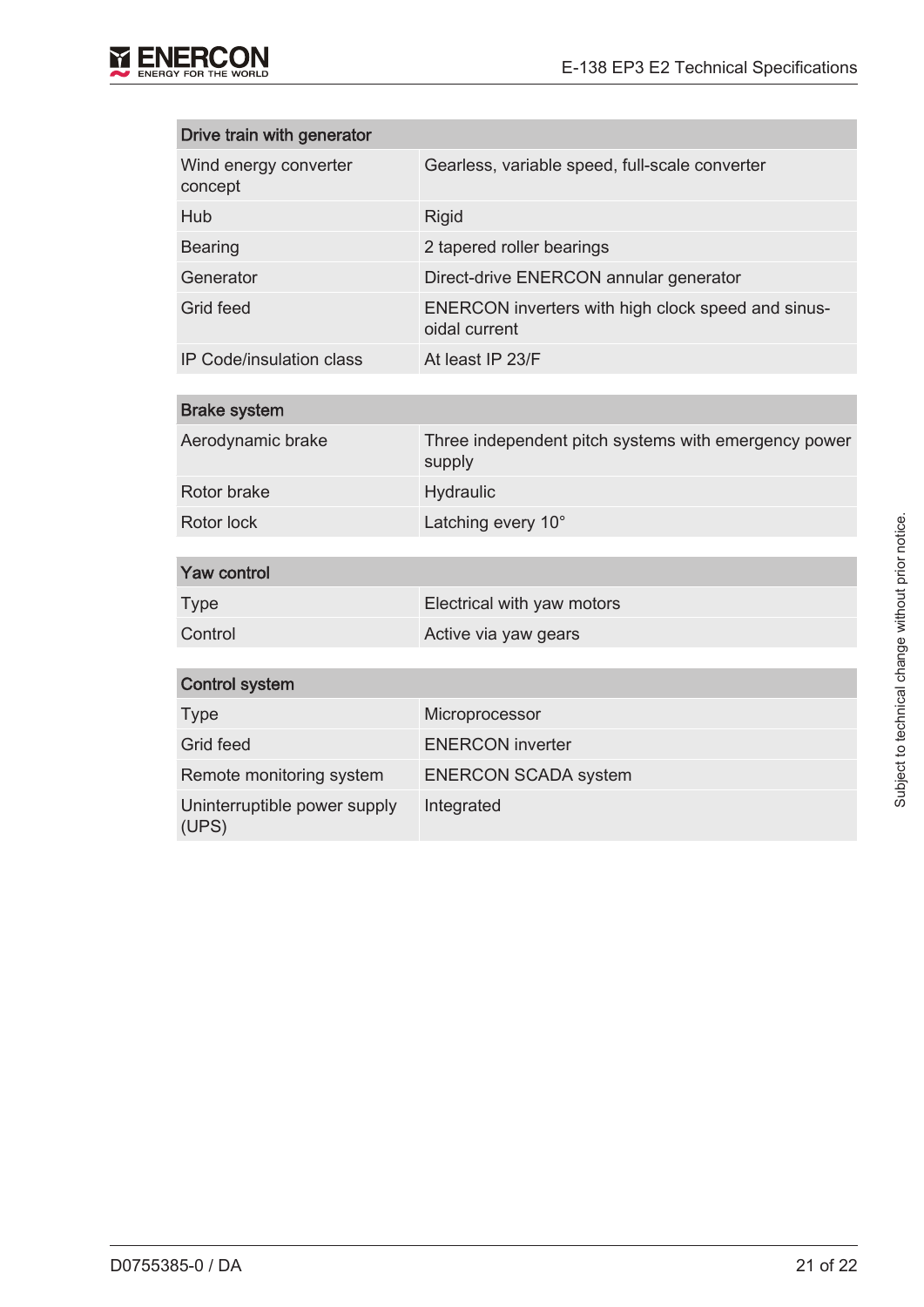

| Drive train with generator       |                                                                     |
|----------------------------------|---------------------------------------------------------------------|
| Wind energy converter<br>concept | Gearless, variable speed, full-scale converter                      |
| Hub                              | Rigid                                                               |
| <b>Bearing</b>                   | 2 tapered roller bearings                                           |
| Generator                        | Direct-drive ENERCON annular generator                              |
| Grid feed                        | ENERCON inverters with high clock speed and sinus-<br>oidal current |
| <b>IP Code/insulation class</b>  | At least IP 23/F                                                    |

| <b>Brake system</b> |                                                                |
|---------------------|----------------------------------------------------------------|
| Aerodynamic brake   | Three independent pitch systems with emergency power<br>supply |
| Rotor brake         | <b>Hydraulic</b>                                               |
| Rotor lock          | Latching every 10°                                             |

| <b>Yaw control</b> |                            |
|--------------------|----------------------------|
| <b>Type</b>        | Electrical with yaw motors |
| Control            | Active via yaw gears       |
|                    |                            |

| <b>Control system</b>                 |                             |
|---------------------------------------|-----------------------------|
| <b>Type</b>                           | Microprocessor              |
| Grid feed                             | <b>ENERCON</b> inverter     |
| Remote monitoring system              | <b>ENERCON SCADA system</b> |
| Uninterruptible power supply<br>(UPS) | Integrated                  |